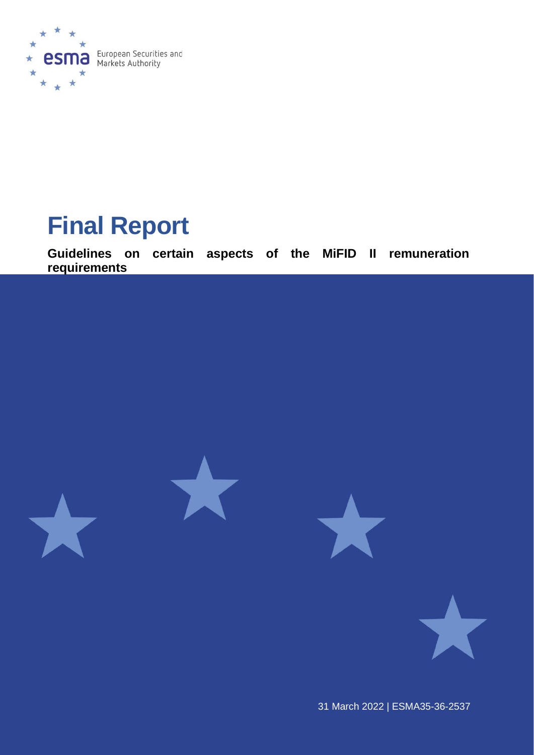

# **Final Report**

**Guidelines on certain aspects of the MiFID II remuneration requirements**



31 March 2022 | ESMA35-36-2537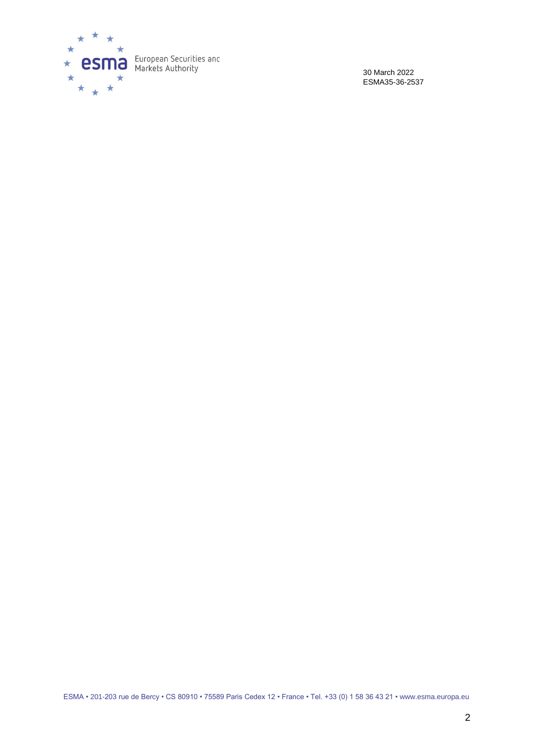

30 March 2022 ESMA35-36-2537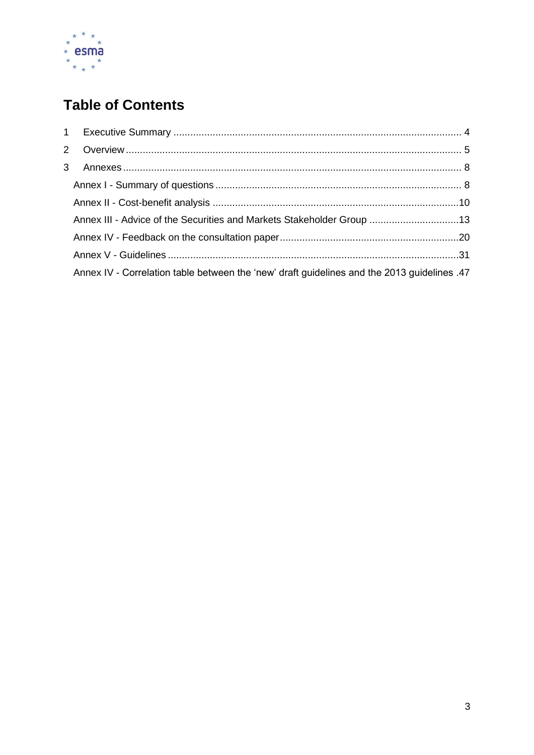

# **Table of Contents**

| Annex III - Advice of the Securities and Markets Stakeholder Group 13                       |  |
|---------------------------------------------------------------------------------------------|--|
|                                                                                             |  |
|                                                                                             |  |
| Annex IV - Correlation table between the 'new' draft guidelines and the 2013 guidelines .47 |  |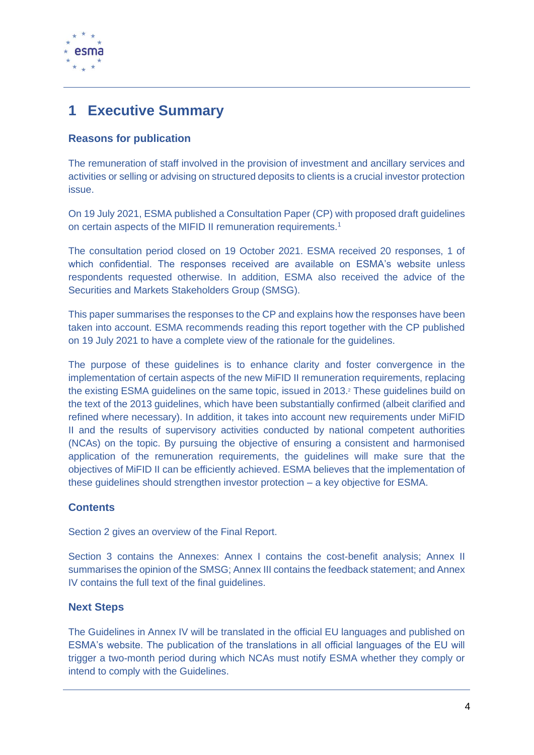

# <span id="page-3-0"></span>**1 Executive Summary**

#### **Reasons for publication**

The remuneration of staff involved in the provision of investment and ancillary services and activities or selling or advising on structured deposits to clients is a crucial investor protection issue.

On 19 July 2021, ESMA published a Consultation Paper (CP) with proposed draft guidelines on certain aspects of the MIFID II remuneration requirements.<sup>1</sup>

The consultation period closed on 19 October 2021. ESMA received 20 responses, 1 of which confidential. The responses received are available on ESMA's website unless respondents requested otherwise. In addition, ESMA also received the advice of the Securities and Markets Stakeholders Group (SMSG).

This paper summarises the responses to the CP and explains how the responses have been taken into account. ESMA recommends reading this report together with the CP published on 19 July 2021 to have a complete view of the rationale for the guidelines.

The purpose of these guidelines is to enhance clarity and foster convergence in the implementation of certain aspects of the new MiFID II remuneration requirements, replacing the existing ESMA guidelines on the same topic, issued in 2013.<sup>2</sup> These guidelines build on the text of the 2013 guidelines, which have been substantially confirmed (albeit clarified and refined where necessary). In addition, it takes into account new requirements under MiFID II and the results of supervisory activities conducted by national competent authorities (NCAs) on the topic. By pursuing the objective of ensuring a consistent and harmonised application of the remuneration requirements, the guidelines will make sure that the objectives of MiFID II can be efficiently achieved. ESMA believes that the implementation of these guidelines should strengthen investor protection – a key objective for ESMA.

#### **Contents**

Section 2 gives an overview of the Final Report.

Section 3 contains the Annexes: Annex I contains the cost-benefit analysis; Annex II summarises the opinion of the SMSG; Annex III contains the feedback statement; and Annex IV contains the full text of the final guidelines.

#### **Next Steps**

The Guidelines in Annex IV will be translated in the official EU languages and published on ESMA's website. The publication of the translations in all official languages of the EU will trigger a two-month period during which NCAs must notify ESMA whether they comply or intend to comply with the Guidelines.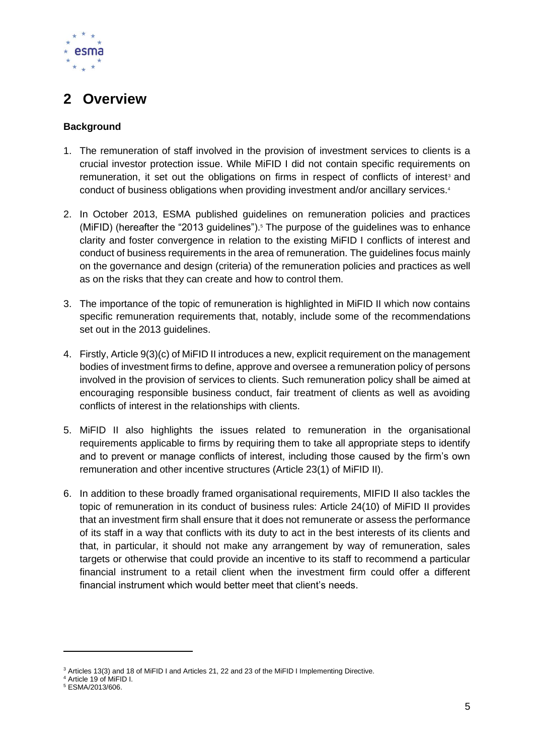

# <span id="page-4-0"></span>**2 Overview**

#### **Background**

- 1. The remuneration of staff involved in the provision of investment services to clients is a crucial investor protection issue. While MiFID I did not contain specific requirements on remuneration, it set out the obligations on firms in respect of conflicts of interest<sup>3</sup> and conduct of business obligations when providing investment and/or ancillary services.<sup>4</sup>
- 2. In October 2013, ESMA published guidelines on remuneration policies and practices (MiFID) (hereafter the "2013 guidelines").<sup>5</sup> The purpose of the guidelines was to enhance clarity and foster convergence in relation to the existing MiFID I conflicts of interest and conduct of business requirements in the area of remuneration. The guidelines focus mainly on the governance and design (criteria) of the remuneration policies and practices as well as on the risks that they can create and how to control them.
- 3. The importance of the topic of remuneration is highlighted in MiFID II which now contains specific remuneration requirements that, notably, include some of the recommendations set out in the 2013 quidelines.
- 4. Firstly, Article 9(3)(c) of MiFID II introduces a new, explicit requirement on the management bodies of investment firms to define, approve and oversee a remuneration policy of persons involved in the provision of services to clients. Such remuneration policy shall be aimed at encouraging responsible business conduct, fair treatment of clients as well as avoiding conflicts of interest in the relationships with clients.
- 5. MiFID II also highlights the issues related to remuneration in the organisational requirements applicable to firms by requiring them to take all appropriate steps to identify and to prevent or manage conflicts of interest, including those caused by the firm's own remuneration and other incentive structures (Article 23(1) of MiFID II).
- 6. In addition to these broadly framed organisational requirements, MIFID II also tackles the topic of remuneration in its conduct of business rules: Article 24(10) of MiFID II provides that an investment firm shall ensure that it does not remunerate or assess the performance of its staff in a way that conflicts with its duty to act in the best interests of its clients and that, in particular, it should not make any arrangement by way of remuneration, sales targets or otherwise that could provide an incentive to its staff to recommend a particular financial instrument to a retail client when the investment firm could offer a different financial instrument which would better meet that client's needs.

<sup>&</sup>lt;sup>3</sup> Articles 13(3) and 18 of MiFID I and Articles 21, 22 and 23 of the MiFID I Implementing Directive.

<sup>4</sup> Article 19 of MiFID I.

<sup>5</sup> ESMA/2013/606.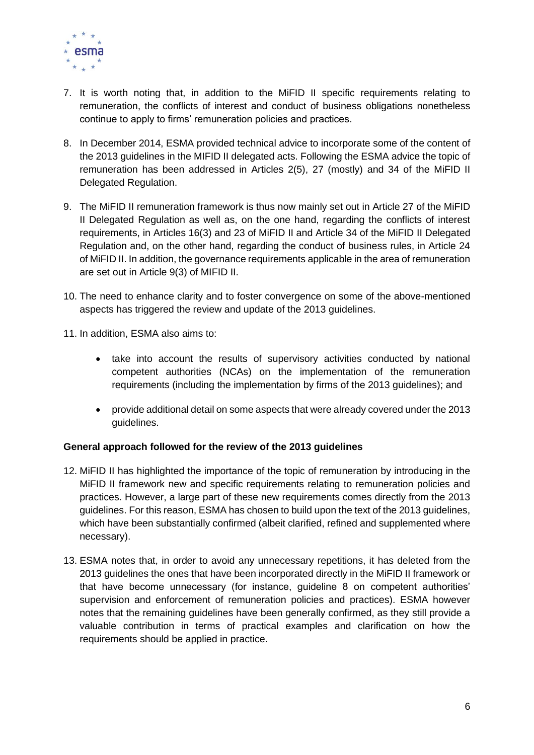

- 7. It is worth noting that, in addition to the MiFID II specific requirements relating to remuneration, the conflicts of interest and conduct of business obligations nonetheless continue to apply to firms' remuneration policies and practices.
- 8. In December 2014, ESMA provided technical advice to incorporate some of the content of the 2013 guidelines in the MIFID II delegated acts. Following the ESMA advice the topic of remuneration has been addressed in Articles 2(5), 27 (mostly) and 34 of the MiFID II Delegated Regulation.
- 9. The MiFID II remuneration framework is thus now mainly set out in Article 27 of the MiFID II Delegated Regulation as well as, on the one hand, regarding the conflicts of interest requirements, in Articles 16(3) and 23 of MiFID II and Article 34 of the MiFID II Delegated Regulation and, on the other hand, regarding the conduct of business rules, in Article 24 of MiFID II. In addition, the governance requirements applicable in the area of remuneration are set out in Article 9(3) of MIFID II.
- 10. The need to enhance clarity and to foster convergence on some of the above-mentioned aspects has triggered the review and update of the 2013 guidelines.
- 11. In addition, ESMA also aims to:
	- take into account the results of supervisory activities conducted by national competent authorities (NCAs) on the implementation of the remuneration requirements (including the implementation by firms of the 2013 guidelines); and
	- provide additional detail on some aspects that were already covered under the 2013 guidelines.

#### **General approach followed for the review of the 2013 guidelines**

- 12. MiFID II has highlighted the importance of the topic of remuneration by introducing in the MiFID II framework new and specific requirements relating to remuneration policies and practices. However, a large part of these new requirements comes directly from the 2013 guidelines. For this reason, ESMA has chosen to build upon the text of the 2013 guidelines, which have been substantially confirmed (albeit clarified, refined and supplemented where necessary).
- 13. ESMA notes that, in order to avoid any unnecessary repetitions, it has deleted from the 2013 guidelines the ones that have been incorporated directly in the MiFID II framework or that have become unnecessary (for instance, guideline 8 on competent authorities' supervision and enforcement of remuneration policies and practices). ESMA however notes that the remaining guidelines have been generally confirmed, as they still provide a valuable contribution in terms of practical examples and clarification on how the requirements should be applied in practice.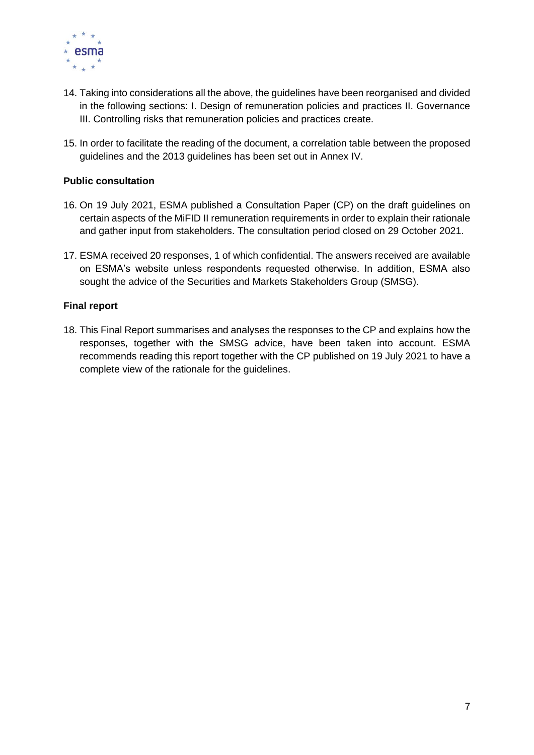

- 14. Taking into considerations all the above, the guidelines have been reorganised and divided in the following sections: I. Design of remuneration policies and practices II. Governance III. Controlling risks that remuneration policies and practices create.
- 15. In order to facilitate the reading of the document, a correlation table between the proposed guidelines and the 2013 guidelines has been set out in Annex IV.

#### **Public consultation**

- 16. On 19 July 2021, ESMA published a Consultation Paper (CP) on the draft guidelines on certain aspects of the MiFID II remuneration requirements in order to explain their rationale and gather input from stakeholders. The consultation period closed on 29 October 2021.
- 17. ESMA received 20 responses, 1 of which confidential. The answers received are available on ESMA's website unless respondents requested otherwise. In addition, ESMA also sought the advice of the Securities and Markets Stakeholders Group (SMSG).

#### **Final report**

18. This Final Report summarises and analyses the responses to the CP and explains how the responses, together with the SMSG advice, have been taken into account. ESMA recommends reading this report together with the CP published on 19 July 2021 to have a complete view of the rationale for the guidelines.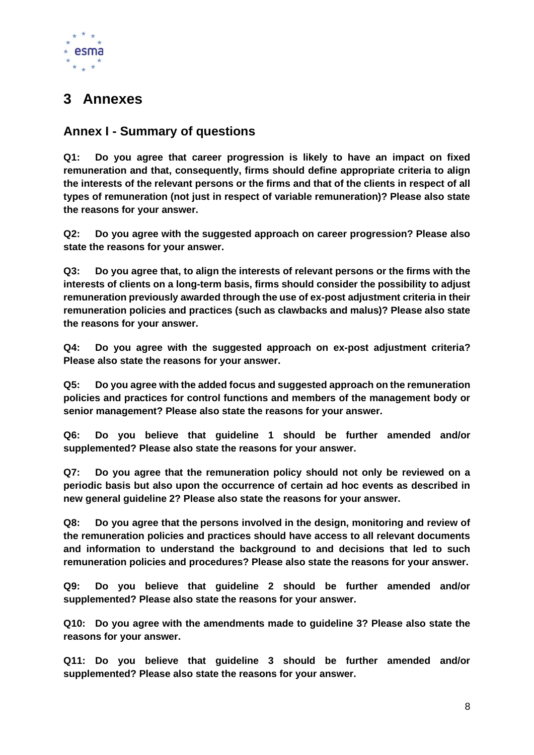

# <span id="page-7-0"></span>**3 Annexes**

## <span id="page-7-1"></span>**Annex I - Summary of questions**

**Q1: Do you agree that career progression is likely to have an impact on fixed remuneration and that, consequently, firms should define appropriate criteria to align the interests of the relevant persons or the firms and that of the clients in respect of all types of remuneration (not just in respect of variable remuneration)? Please also state the reasons for your answer.** 

**Q2: Do you agree with the suggested approach on career progression? Please also state the reasons for your answer.** 

**Q3: Do you agree that, to align the interests of relevant persons or the firms with the interests of clients on a long-term basis, firms should consider the possibility to adjust remuneration previously awarded through the use of ex-post adjustment criteria in their remuneration policies and practices (such as clawbacks and malus)? Please also state the reasons for your answer.**

**Q4: Do you agree with the suggested approach on ex-post adjustment criteria? Please also state the reasons for your answer.** 

**Q5: Do you agree with the added focus and suggested approach on the remuneration policies and practices for control functions and members of the management body or senior management? Please also state the reasons for your answer.** 

**Q6: Do you believe that guideline 1 should be further amended and/or supplemented? Please also state the reasons for your answer.** 

**Q7: Do you agree that the remuneration policy should not only be reviewed on a periodic basis but also upon the occurrence of certain ad hoc events as described in new general guideline 2? Please also state the reasons for your answer.** 

**Q8: Do you agree that the persons involved in the design, monitoring and review of the remuneration policies and practices should have access to all relevant documents and information to understand the background to and decisions that led to such remuneration policies and procedures? Please also state the reasons for your answer.** 

**Q9: Do you believe that guideline 2 should be further amended and/or supplemented? Please also state the reasons for your answer.** 

**Q10: Do you agree with the amendments made to guideline 3? Please also state the reasons for your answer.** 

**Q11: Do you believe that guideline 3 should be further amended and/or supplemented? Please also state the reasons for your answer.**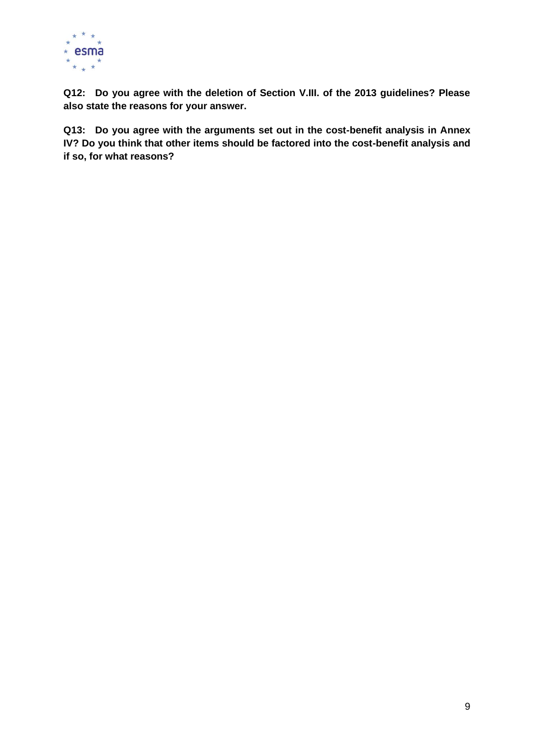

**Q12: Do you agree with the deletion of Section V.III. of the 2013 guidelines? Please also state the reasons for your answer.** 

**Q13: Do you agree with the arguments set out in the cost-benefit analysis in Annex IV? Do you think that other items should be factored into the cost-benefit analysis and if so, for what reasons?**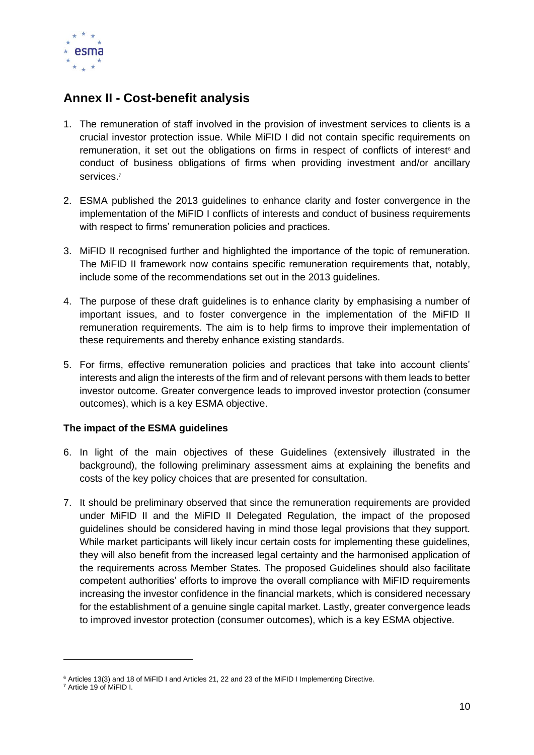

## <span id="page-9-0"></span>**Annex II - Cost-benefit analysis**

- 1. The remuneration of staff involved in the provision of investment services to clients is a crucial investor protection issue. While MiFID I did not contain specific requirements on remuneration, it set out the obligations on firms in respect of conflicts of interest<sup>®</sup> and conduct of business obligations of firms when providing investment and/or ancillary services. 7
- 2. ESMA published the 2013 guidelines to enhance clarity and foster convergence in the implementation of the MiFID I conflicts of interests and conduct of business requirements with respect to firms' remuneration policies and practices.
- 3. MiFID II recognised further and highlighted the importance of the topic of remuneration. The MiFID II framework now contains specific remuneration requirements that, notably, include some of the recommendations set out in the 2013 guidelines.
- 4. The purpose of these draft guidelines is to enhance clarity by emphasising a number of important issues, and to foster convergence in the implementation of the MiFID II remuneration requirements. The aim is to help firms to improve their implementation of these requirements and thereby enhance existing standards.
- 5. For firms, effective remuneration policies and practices that take into account clients' interests and align the interests of the firm and of relevant persons with them leads to better investor outcome. Greater convergence leads to improved investor protection (consumer outcomes), which is a key ESMA objective.

#### **The impact of the ESMA guidelines**

- 6. In light of the main objectives of these Guidelines (extensively illustrated in the background), the following preliminary assessment aims at explaining the benefits and costs of the key policy choices that are presented for consultation.
- 7. It should be preliminary observed that since the remuneration requirements are provided under MiFID II and the MiFID II Delegated Regulation, the impact of the proposed guidelines should be considered having in mind those legal provisions that they support. While market participants will likely incur certain costs for implementing these guidelines, they will also benefit from the increased legal certainty and the harmonised application of the requirements across Member States. The proposed Guidelines should also facilitate competent authorities' efforts to improve the overall compliance with MiFID requirements increasing the investor confidence in the financial markets, which is considered necessary for the establishment of a genuine single capital market. Lastly, greater convergence leads to improved investor protection (consumer outcomes), which is a key ESMA objective.

<sup>6</sup> Articles 13(3) and 18 of MiFID I and Articles 21, 22 and 23 of the MiFID I Implementing Directive.

<sup>7</sup> Article 19 of MiFID I.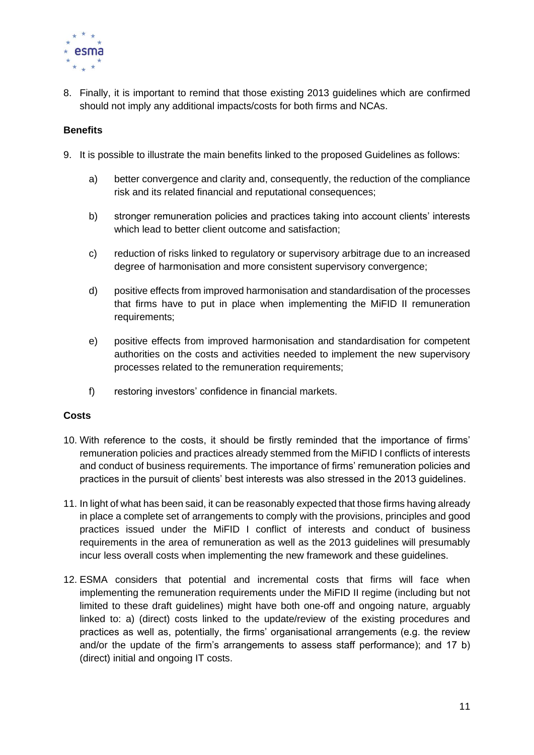

8. Finally, it is important to remind that those existing 2013 guidelines which are confirmed should not imply any additional impacts/costs for both firms and NCAs.

#### **Benefits**

- 9. It is possible to illustrate the main benefits linked to the proposed Guidelines as follows:
	- a) better convergence and clarity and, consequently, the reduction of the compliance risk and its related financial and reputational consequences;
	- b) stronger remuneration policies and practices taking into account clients' interests which lead to better client outcome and satisfaction;
	- c) reduction of risks linked to regulatory or supervisory arbitrage due to an increased degree of harmonisation and more consistent supervisory convergence;
	- d) positive effects from improved harmonisation and standardisation of the processes that firms have to put in place when implementing the MiFID II remuneration requirements;
	- e) positive effects from improved harmonisation and standardisation for competent authorities on the costs and activities needed to implement the new supervisory processes related to the remuneration requirements;
	- f) restoring investors' confidence in financial markets.

#### **Costs**

- 10. With reference to the costs, it should be firstly reminded that the importance of firms' remuneration policies and practices already stemmed from the MiFID I conflicts of interests and conduct of business requirements. The importance of firms' remuneration policies and practices in the pursuit of clients' best interests was also stressed in the 2013 guidelines.
- 11. In light of what has been said, it can be reasonably expected that those firms having already in place a complete set of arrangements to comply with the provisions, principles and good practices issued under the MiFID I conflict of interests and conduct of business requirements in the area of remuneration as well as the 2013 guidelines will presumably incur less overall costs when implementing the new framework and these guidelines.
- 12. ESMA considers that potential and incremental costs that firms will face when implementing the remuneration requirements under the MiFID II regime (including but not limited to these draft guidelines) might have both one-off and ongoing nature, arguably linked to: a) (direct) costs linked to the update/review of the existing procedures and practices as well as, potentially, the firms' organisational arrangements (e.g. the review and/or the update of the firm's arrangements to assess staff performance); and 17 b) (direct) initial and ongoing IT costs.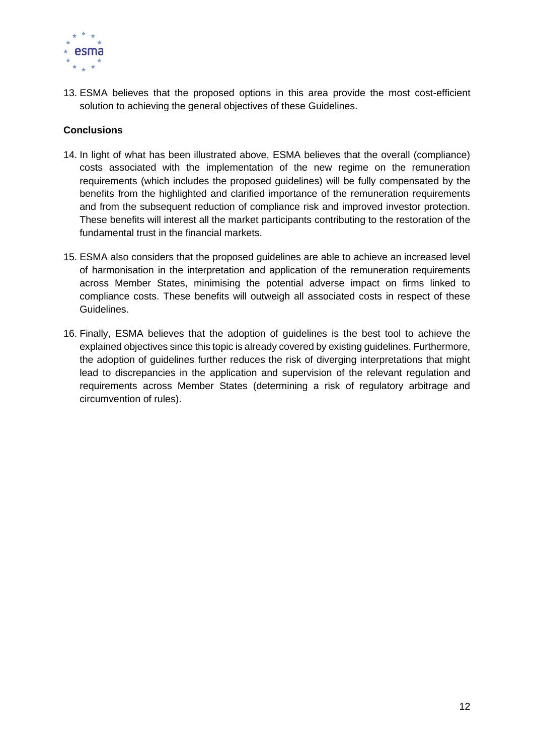

13. ESMA believes that the proposed options in this area provide the most cost-efficient solution to achieving the general objectives of these Guidelines.

#### **Conclusions**

- 14. In light of what has been illustrated above, ESMA believes that the overall (compliance) costs associated with the implementation of the new regime on the remuneration requirements (which includes the proposed guidelines) will be fully compensated by the benefits from the highlighted and clarified importance of the remuneration requirements and from the subsequent reduction of compliance risk and improved investor protection. These benefits will interest all the market participants contributing to the restoration of the fundamental trust in the financial markets.
- 15. ESMA also considers that the proposed guidelines are able to achieve an increased level of harmonisation in the interpretation and application of the remuneration requirements across Member States, minimising the potential adverse impact on firms linked to compliance costs. These benefits will outweigh all associated costs in respect of these Guidelines.
- 16. Finally, ESMA believes that the adoption of guidelines is the best tool to achieve the explained objectives since this topic is already covered by existing guidelines. Furthermore, the adoption of guidelines further reduces the risk of diverging interpretations that might lead to discrepancies in the application and supervision of the relevant regulation and requirements across Member States (determining a risk of regulatory arbitrage and circumvention of rules).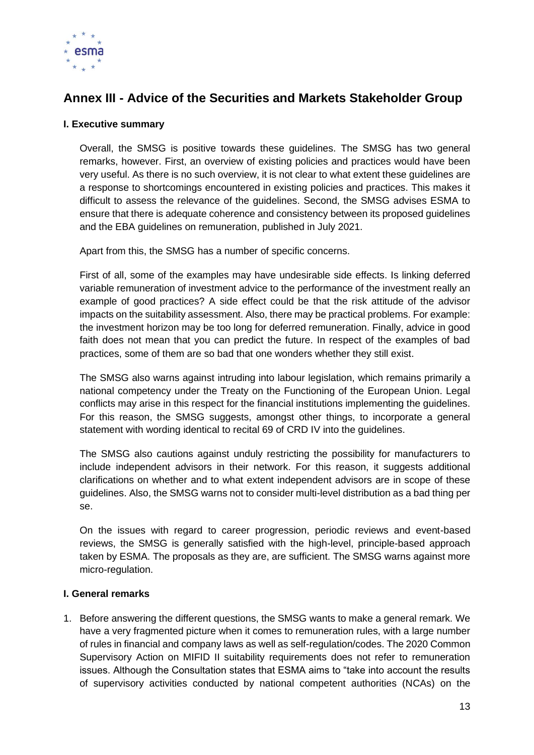

## <span id="page-12-0"></span>**Annex III - Advice of the Securities and Markets Stakeholder Group**

#### **I. Executive summary**

Overall, the SMSG is positive towards these guidelines. The SMSG has two general remarks, however. First, an overview of existing policies and practices would have been very useful. As there is no such overview, it is not clear to what extent these guidelines are a response to shortcomings encountered in existing policies and practices. This makes it difficult to assess the relevance of the guidelines. Second, the SMSG advises ESMA to ensure that there is adequate coherence and consistency between its proposed guidelines and the EBA guidelines on remuneration, published in July 2021.

Apart from this, the SMSG has a number of specific concerns.

First of all, some of the examples may have undesirable side effects. Is linking deferred variable remuneration of investment advice to the performance of the investment really an example of good practices? A side effect could be that the risk attitude of the advisor impacts on the suitability assessment. Also, there may be practical problems. For example: the investment horizon may be too long for deferred remuneration. Finally, advice in good faith does not mean that you can predict the future. In respect of the examples of bad practices, some of them are so bad that one wonders whether they still exist.

The SMSG also warns against intruding into labour legislation, which remains primarily a national competency under the Treaty on the Functioning of the European Union. Legal conflicts may arise in this respect for the financial institutions implementing the guidelines. For this reason, the SMSG suggests, amongst other things, to incorporate a general statement with wording identical to recital 69 of CRD IV into the guidelines.

The SMSG also cautions against unduly restricting the possibility for manufacturers to include independent advisors in their network. For this reason, it suggests additional clarifications on whether and to what extent independent advisors are in scope of these guidelines. Also, the SMSG warns not to consider multi-level distribution as a bad thing per se.

On the issues with regard to career progression, periodic reviews and event-based reviews, the SMSG is generally satisfied with the high-level, principle-based approach taken by ESMA. The proposals as they are, are sufficient. The SMSG warns against more micro-regulation.

#### **I. General remarks**

1. Before answering the different questions, the SMSG wants to make a general remark. We have a very fragmented picture when it comes to remuneration rules, with a large number of rules in financial and company laws as well as self-regulation/codes. The 2020 Common Supervisory Action on MIFID II suitability requirements does not refer to remuneration issues. Although the Consultation states that ESMA aims to "take into account the results of supervisory activities conducted by national competent authorities (NCAs) on the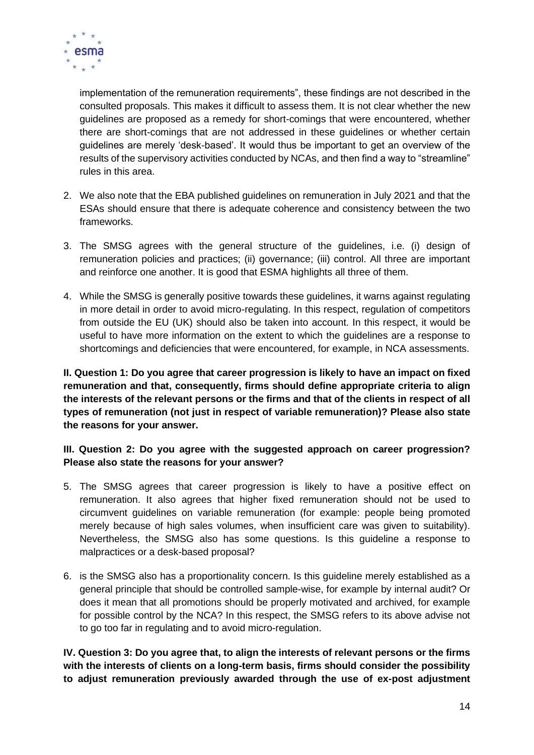

implementation of the remuneration requirements", these findings are not described in the consulted proposals. This makes it difficult to assess them. It is not clear whether the new guidelines are proposed as a remedy for short-comings that were encountered, whether there are short-comings that are not addressed in these guidelines or whether certain guidelines are merely 'desk-based'. It would thus be important to get an overview of the results of the supervisory activities conducted by NCAs, and then find a way to "streamline" rules in this area.

- 2. We also note that the EBA published guidelines on remuneration in July 2021 and that the ESAs should ensure that there is adequate coherence and consistency between the two frameworks.
- 3. The SMSG agrees with the general structure of the guidelines, i.e. (i) design of remuneration policies and practices; (ii) governance; (iii) control. All three are important and reinforce one another. It is good that ESMA highlights all three of them.
- 4. While the SMSG is generally positive towards these guidelines, it warns against regulating in more detail in order to avoid micro-regulating. In this respect, regulation of competitors from outside the EU (UK) should also be taken into account. In this respect, it would be useful to have more information on the extent to which the guidelines are a response to shortcomings and deficiencies that were encountered, for example, in NCA assessments.

**II. Question 1: Do you agree that career progression is likely to have an impact on fixed remuneration and that, consequently, firms should define appropriate criteria to align the interests of the relevant persons or the firms and that of the clients in respect of all types of remuneration (not just in respect of variable remuneration)? Please also state the reasons for your answer.** 

#### **III. Question 2: Do you agree with the suggested approach on career progression? Please also state the reasons for your answer?**

- 5. The SMSG agrees that career progression is likely to have a positive effect on remuneration. It also agrees that higher fixed remuneration should not be used to circumvent guidelines on variable remuneration (for example: people being promoted merely because of high sales volumes, when insufficient care was given to suitability). Nevertheless, the SMSG also has some questions. Is this guideline a response to malpractices or a desk-based proposal?
- 6. is the SMSG also has a proportionality concern. Is this guideline merely established as a general principle that should be controlled sample-wise, for example by internal audit? Or does it mean that all promotions should be properly motivated and archived, for example for possible control by the NCA? In this respect, the SMSG refers to its above advise not to go too far in regulating and to avoid micro-regulation.

**IV. Question 3: Do you agree that, to align the interests of relevant persons or the firms with the interests of clients on a long-term basis, firms should consider the possibility to adjust remuneration previously awarded through the use of ex-post adjustment**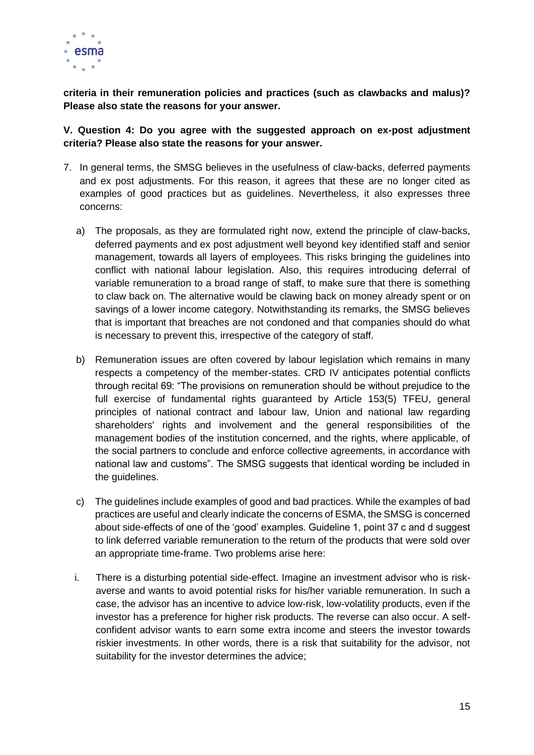

**criteria in their remuneration policies and practices (such as clawbacks and malus)? Please also state the reasons for your answer.** 

**V. Question 4: Do you agree with the suggested approach on ex-post adjustment criteria? Please also state the reasons for your answer.** 

- 7. In general terms, the SMSG believes in the usefulness of claw-backs, deferred payments and ex post adjustments. For this reason, it agrees that these are no longer cited as examples of good practices but as guidelines. Nevertheless, it also expresses three concerns:
	- a) The proposals, as they are formulated right now, extend the principle of claw-backs, deferred payments and ex post adjustment well beyond key identified staff and senior management, towards all layers of employees. This risks bringing the guidelines into conflict with national labour legislation. Also, this requires introducing deferral of variable remuneration to a broad range of staff, to make sure that there is something to claw back on. The alternative would be clawing back on money already spent or on savings of a lower income category. Notwithstanding its remarks, the SMSG believes that is important that breaches are not condoned and that companies should do what is necessary to prevent this, irrespective of the category of staff.
	- b) Remuneration issues are often covered by labour legislation which remains in many respects a competency of the member-states. CRD IV anticipates potential conflicts through recital 69: "The provisions on remuneration should be without prejudice to the full exercise of fundamental rights guaranteed by Article 153(5) TFEU, general principles of national contract and labour law, Union and national law regarding shareholders' rights and involvement and the general responsibilities of the management bodies of the institution concerned, and the rights, where applicable, of the social partners to conclude and enforce collective agreements, in accordance with national law and customs". The SMSG suggests that identical wording be included in the guidelines.
	- c) The guidelines include examples of good and bad practices. While the examples of bad practices are useful and clearly indicate the concerns of ESMA, the SMSG is concerned about side-effects of one of the 'good' examples. Guideline 1, point 37 c and d suggest to link deferred variable remuneration to the return of the products that were sold over an appropriate time-frame. Two problems arise here:
	- i. There is a disturbing potential side-effect. Imagine an investment advisor who is riskaverse and wants to avoid potential risks for his/her variable remuneration. In such a case, the advisor has an incentive to advice low-risk, low-volatility products, even if the investor has a preference for higher risk products. The reverse can also occur. A selfconfident advisor wants to earn some extra income and steers the investor towards riskier investments. In other words, there is a risk that suitability for the advisor, not suitability for the investor determines the advice;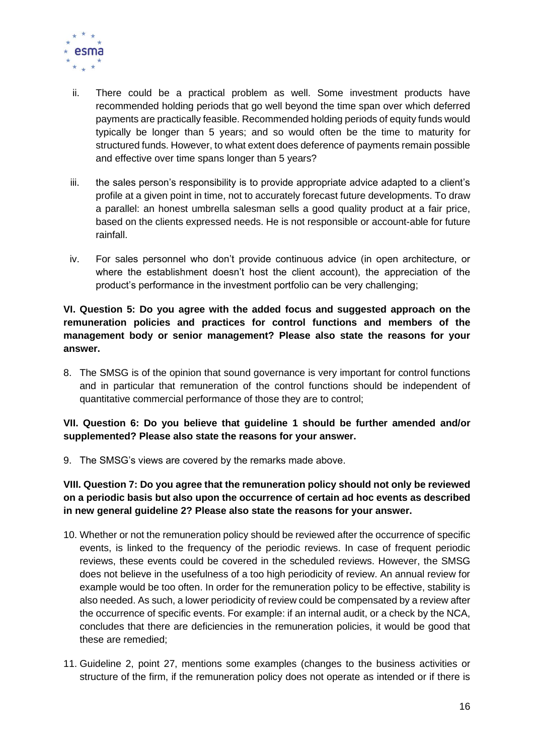

- ii. There could be a practical problem as well. Some investment products have recommended holding periods that go well beyond the time span over which deferred payments are practically feasible. Recommended holding periods of equity funds would typically be longer than 5 years; and so would often be the time to maturity for structured funds. However, to what extent does deference of payments remain possible and effective over time spans longer than 5 years?
- iii. the sales person's responsibility is to provide appropriate advice adapted to a client's profile at a given point in time, not to accurately forecast future developments. To draw a parallel: an honest umbrella salesman sells a good quality product at a fair price, based on the clients expressed needs. He is not responsible or account-able for future rainfall.
- iv. For sales personnel who don't provide continuous advice (in open architecture, or where the establishment doesn't host the client account), the appreciation of the product's performance in the investment portfolio can be very challenging;

**VI. Question 5: Do you agree with the added focus and suggested approach on the remuneration policies and practices for control functions and members of the management body or senior management? Please also state the reasons for your answer.** 

8. The SMSG is of the opinion that sound governance is very important for control functions and in particular that remuneration of the control functions should be independent of quantitative commercial performance of those they are to control;

#### **VII. Question 6: Do you believe that guideline 1 should be further amended and/or supplemented? Please also state the reasons for your answer.**

9. The SMSG's views are covered by the remarks made above.

#### **VIII. Question 7: Do you agree that the remuneration policy should not only be reviewed on a periodic basis but also upon the occurrence of certain ad hoc events as described in new general guideline 2? Please also state the reasons for your answer.**

- 10. Whether or not the remuneration policy should be reviewed after the occurrence of specific events, is linked to the frequency of the periodic reviews. In case of frequent periodic reviews, these events could be covered in the scheduled reviews. However, the SMSG does not believe in the usefulness of a too high periodicity of review. An annual review for example would be too often. In order for the remuneration policy to be effective, stability is also needed. As such, a lower periodicity of review could be compensated by a review after the occurrence of specific events. For example: if an internal audit, or a check by the NCA, concludes that there are deficiencies in the remuneration policies, it would be good that these are remedied;
- 11. Guideline 2, point 27, mentions some examples (changes to the business activities or structure of the firm, if the remuneration policy does not operate as intended or if there is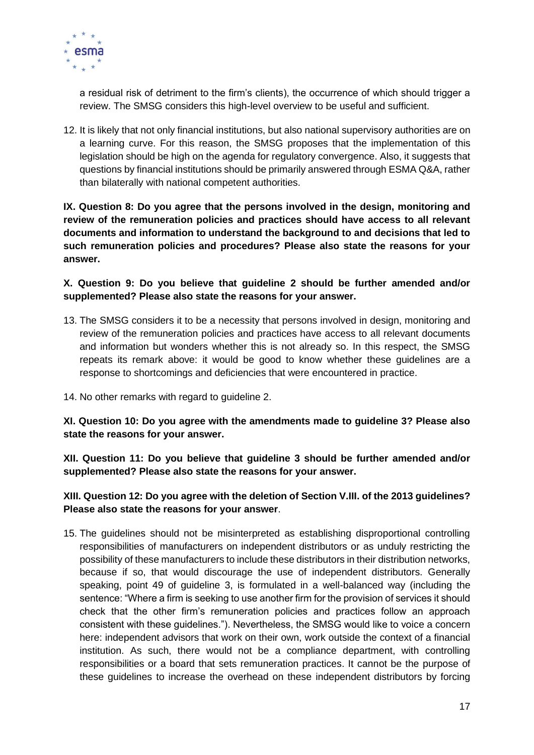

a residual risk of detriment to the firm's clients), the occurrence of which should trigger a review. The SMSG considers this high-level overview to be useful and sufficient.

12. It is likely that not only financial institutions, but also national supervisory authorities are on a learning curve. For this reason, the SMSG proposes that the implementation of this legislation should be high on the agenda for regulatory convergence. Also, it suggests that questions by financial institutions should be primarily answered through ESMA Q&A, rather than bilaterally with national competent authorities.

**IX. Question 8: Do you agree that the persons involved in the design, monitoring and review of the remuneration policies and practices should have access to all relevant documents and information to understand the background to and decisions that led to such remuneration policies and procedures? Please also state the reasons for your answer.** 

**X. Question 9: Do you believe that guideline 2 should be further amended and/or supplemented? Please also state the reasons for your answer.** 

- 13. The SMSG considers it to be a necessity that persons involved in design, monitoring and review of the remuneration policies and practices have access to all relevant documents and information but wonders whether this is not already so. In this respect, the SMSG repeats its remark above: it would be good to know whether these guidelines are a response to shortcomings and deficiencies that were encountered in practice.
- 14. No other remarks with regard to guideline 2.

**XI. Question 10: Do you agree with the amendments made to guideline 3? Please also state the reasons for your answer.**

**XII. Question 11: Do you believe that guideline 3 should be further amended and/or supplemented? Please also state the reasons for your answer.**

**XIII. Question 12: Do you agree with the deletion of Section V.III. of the 2013 guidelines? Please also state the reasons for your answer**.

15. The guidelines should not be misinterpreted as establishing disproportional controlling responsibilities of manufacturers on independent distributors or as unduly restricting the possibility of these manufacturers to include these distributors in their distribution networks, because if so, that would discourage the use of independent distributors. Generally speaking, point 49 of guideline 3, is formulated in a well-balanced way (including the sentence: "Where a firm is seeking to use another firm for the provision of services it should check that the other firm's remuneration policies and practices follow an approach consistent with these guidelines."). Nevertheless, the SMSG would like to voice a concern here: independent advisors that work on their own, work outside the context of a financial institution. As such, there would not be a compliance department, with controlling responsibilities or a board that sets remuneration practices. It cannot be the purpose of these guidelines to increase the overhead on these independent distributors by forcing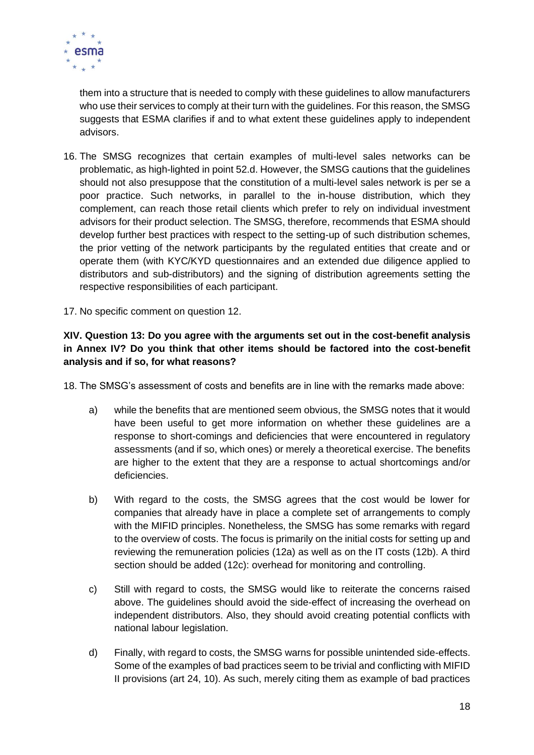

them into a structure that is needed to comply with these guidelines to allow manufacturers who use their services to comply at their turn with the guidelines. For this reason, the SMSG suggests that ESMA clarifies if and to what extent these guidelines apply to independent advisors.

- 16. The SMSG recognizes that certain examples of multi-level sales networks can be problematic, as high-lighted in point 52.d. However, the SMSG cautions that the guidelines should not also presuppose that the constitution of a multi-level sales network is per se a poor practice. Such networks, in parallel to the in-house distribution, which they complement, can reach those retail clients which prefer to rely on individual investment advisors for their product selection. The SMSG, therefore, recommends that ESMA should develop further best practices with respect to the setting-up of such distribution schemes, the prior vetting of the network participants by the regulated entities that create and or operate them (with KYC/KYD questionnaires and an extended due diligence applied to distributors and sub-distributors) and the signing of distribution agreements setting the respective responsibilities of each participant.
- 17. No specific comment on question 12.

#### **XIV. Question 13: Do you agree with the arguments set out in the cost-benefit analysis in Annex IV? Do you think that other items should be factored into the cost-benefit analysis and if so, for what reasons?**

18. The SMSG's assessment of costs and benefits are in line with the remarks made above:

- a) while the benefits that are mentioned seem obvious, the SMSG notes that it would have been useful to get more information on whether these guidelines are a response to short-comings and deficiencies that were encountered in regulatory assessments (and if so, which ones) or merely a theoretical exercise. The benefits are higher to the extent that they are a response to actual shortcomings and/or deficiencies.
- b) With regard to the costs, the SMSG agrees that the cost would be lower for companies that already have in place a complete set of arrangements to comply with the MIFID principles. Nonetheless, the SMSG has some remarks with regard to the overview of costs. The focus is primarily on the initial costs for setting up and reviewing the remuneration policies (12a) as well as on the IT costs (12b). A third section should be added (12c): overhead for monitoring and controlling.
- c) Still with regard to costs, the SMSG would like to reiterate the concerns raised above. The guidelines should avoid the side-effect of increasing the overhead on independent distributors. Also, they should avoid creating potential conflicts with national labour legislation.
- d) Finally, with regard to costs, the SMSG warns for possible unintended side-effects. Some of the examples of bad practices seem to be trivial and conflicting with MIFID II provisions (art 24, 10). As such, merely citing them as example of bad practices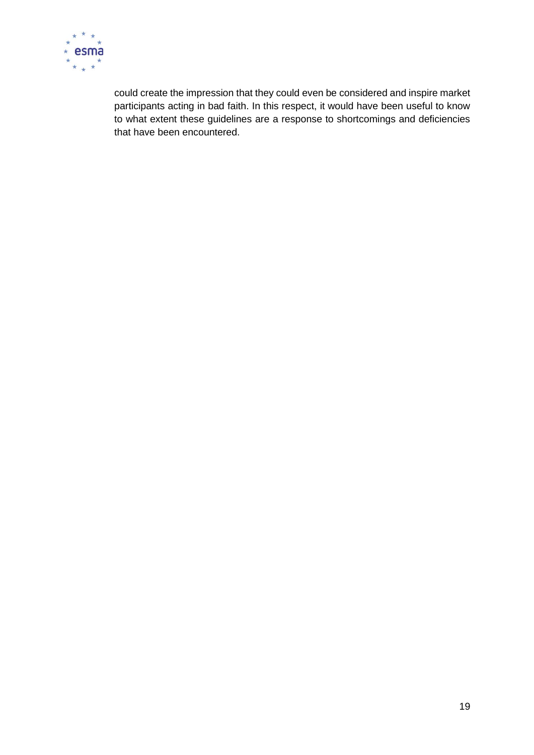

could create the impression that they could even be considered and inspire market participants acting in bad faith. In this respect, it would have been useful to know to what extent these guidelines are a response to shortcomings and deficiencies that have been encountered.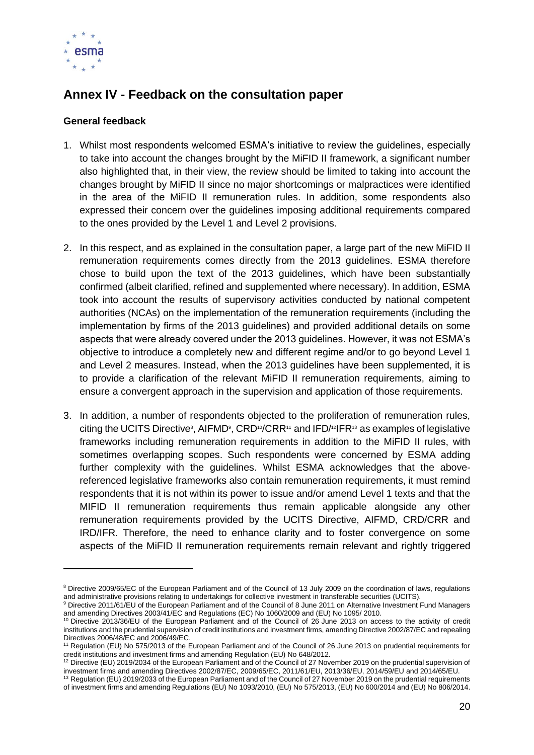

## <span id="page-19-0"></span>**Annex IV - Feedback on the consultation paper**

#### **General feedback**

- 1. Whilst most respondents welcomed ESMA's initiative to review the guidelines, especially to take into account the changes brought by the MiFID II framework, a significant number also highlighted that, in their view, the review should be limited to taking into account the changes brought by MiFID II since no major shortcomings or malpractices were identified in the area of the MiFID II remuneration rules. In addition, some respondents also expressed their concern over the guidelines imposing additional requirements compared to the ones provided by the Level 1 and Level 2 provisions.
- 2. In this respect, and as explained in the consultation paper, a large part of the new MiFID II remuneration requirements comes directly from the 2013 guidelines. ESMA therefore chose to build upon the text of the 2013 guidelines, which have been substantially confirmed (albeit clarified, refined and supplemented where necessary). In addition, ESMA took into account the results of supervisory activities conducted by national competent authorities (NCAs) on the implementation of the remuneration requirements (including the implementation by firms of the 2013 guidelines) and provided additional details on some aspects that were already covered under the 2013 guidelines. However, it was not ESMA's objective to introduce a completely new and different regime and/or to go beyond Level 1 and Level 2 measures. Instead, when the 2013 guidelines have been supplemented, it is to provide a clarification of the relevant MiFID II remuneration requirements, aiming to ensure a convergent approach in the supervision and application of those requirements.
- 3. In addition, a number of respondents objected to the proliferation of remuneration rules, citing the UCITS Directive<sup>8</sup>, AIFMD<sup>9</sup>, CRD<sup>10</sup>/CRR<sup>11</sup> and IFD/<sup>12</sup>IFR<sup>13</sup> as examples of legislative frameworks including remuneration requirements in addition to the MiFID II rules, with sometimes overlapping scopes. Such respondents were concerned by ESMA adding further complexity with the guidelines. Whilst ESMA acknowledges that the abovereferenced legislative frameworks also contain remuneration requirements, it must remind respondents that it is not within its power to issue and/or amend Level 1 texts and that the MIFID II remuneration requirements thus remain applicable alongside any other remuneration requirements provided by the UCITS Directive, AIFMD, CRD/CRR and IRD/IFR. Therefore, the need to enhance clarity and to foster convergence on some aspects of the MiFID II remuneration requirements remain relevant and rightly triggered

<sup>&</sup>lt;sup>8</sup> Directive 2009/65/EC of the European Parliament and of the Council of 13 July 2009 on the coordination of laws, regulations and administrative provisions relating to undertakings for collective investment in transferable securities (UCITS).

<sup>9</sup> Directive 2011/61/EU of the European Parliament and of the Council of 8 June 2011 on Alternative Investment Fund Managers and amending Directives 2003/41/EC and Regulations (EC) No 1060/2009 and (EU) No 1095/ 2010.

<sup>&</sup>lt;sup>10</sup> Directive 2013/36/EU of the European Parliament and of the Council of 26 June 2013 on access to the activity of credit institutions and the prudential supervision of credit institutions and investment firms, amending Directive 2002/87/EC and repealing Directives 2006/48/EC and 2006/49/EC.

<sup>11</sup> Regulation (EU) No 575/2013 of the European Parliament and of the Council of 26 June 2013 on prudential requirements for credit institutions and investment firms and amending Regulation (EU) No 648/2012.

<sup>12</sup> Directive (EU) 2019/2034 of the European Parliament and of the Council of 27 November 2019 on the prudential supervision of investment firms and amending Directives 2002/87/EC, 2009/65/EC, 2011/61/EU, 2013/36/EU, 2014/59/EU and 2014/65/EU.

<sup>&</sup>lt;sup>13</sup> Regulation (EU) 2019/2033 of the European Parliament and of the Council of 27 November 2019 on the prudential requirements of investment firms and amending Regulations (EU) No 1093/2010, (EU) No 575/2013, (EU) No 600/2014 and (EU) No 806/2014.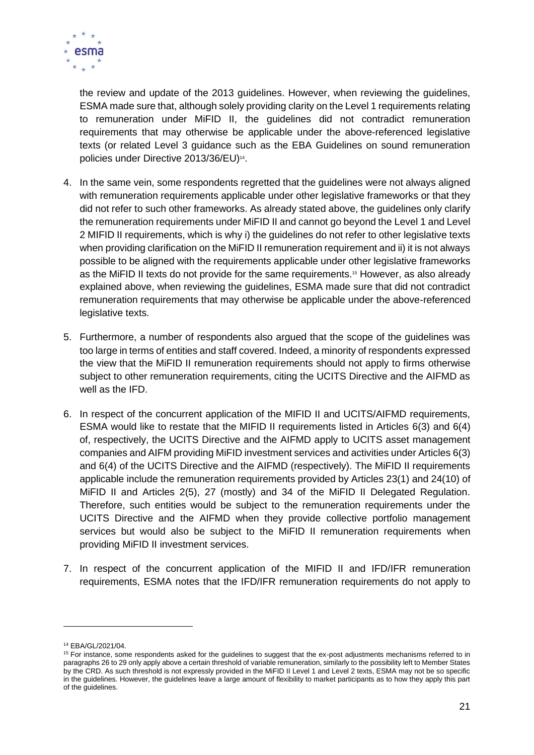

the review and update of the 2013 guidelines. However, when reviewing the guidelines, ESMA made sure that, although solely providing clarity on the Level 1 requirements relating to remuneration under MiFID II, the guidelines did not contradict remuneration requirements that may otherwise be applicable under the above-referenced legislative texts (or related Level 3 guidance such as the EBA Guidelines on sound remuneration policies under Directive 2013/36/EU)<sup>14</sup>.

- 4. In the same vein, some respondents regretted that the guidelines were not always aligned with remuneration requirements applicable under other legislative frameworks or that they did not refer to such other frameworks. As already stated above, the guidelines only clarify the remuneration requirements under MiFID II and cannot go beyond the Level 1 and Level 2 MIFID II requirements, which is why i) the guidelines do not refer to other legislative texts when providing clarification on the MiFID II remuneration requirement and ii) it is not always possible to be aligned with the requirements applicable under other legislative frameworks as the MiFID II texts do not provide for the same requirements.<sup>15</sup> However, as also already explained above, when reviewing the guidelines, ESMA made sure that did not contradict remuneration requirements that may otherwise be applicable under the above-referenced legislative texts.
- 5. Furthermore, a number of respondents also argued that the scope of the guidelines was too large in terms of entities and staff covered. Indeed, a minority of respondents expressed the view that the MiFID II remuneration requirements should not apply to firms otherwise subject to other remuneration requirements, citing the UCITS Directive and the AIFMD as well as the IFD.
- 6. In respect of the concurrent application of the MIFID II and UCITS/AIFMD requirements, ESMA would like to restate that the MIFID II requirements listed in Articles 6(3) and 6(4) of, respectively, the UCITS Directive and the AIFMD apply to UCITS asset management companies and AIFM providing MiFID investment services and activities under Articles 6(3) and 6(4) of the UCITS Directive and the AIFMD (respectively). The MiFID II requirements applicable include the remuneration requirements provided by Articles 23(1) and 24(10) of MiFID II and Articles 2(5), 27 (mostly) and 34 of the MiFID II Delegated Regulation. Therefore, such entities would be subject to the remuneration requirements under the UCITS Directive and the AIFMD when they provide collective portfolio management services but would also be subject to the MiFID II remuneration requirements when providing MiFID II investment services.
- 7. In respect of the concurrent application of the MIFID II and IFD/IFR remuneration requirements, ESMA notes that the IFD/IFR remuneration requirements do not apply to

<sup>14</sup> EBA/GL/2021/04.

<sup>&</sup>lt;sup>15</sup> For instance, some respondents asked for the guidelines to suggest that the ex-post adjustments mechanisms referred to in paragraph[s 26](#page-35-0) t[o 29](#page-36-0) only apply above a certain threshold of variable remuneration, similarly to the possibility left to Member States by the CRD. As such threshold is not expressly provided in the MiFID II Level 1 and Level 2 texts, ESMA may not be so specific in the guidelines. However, the guidelines leave a large amount of flexibility to market participants as to how they apply this part of the guidelines.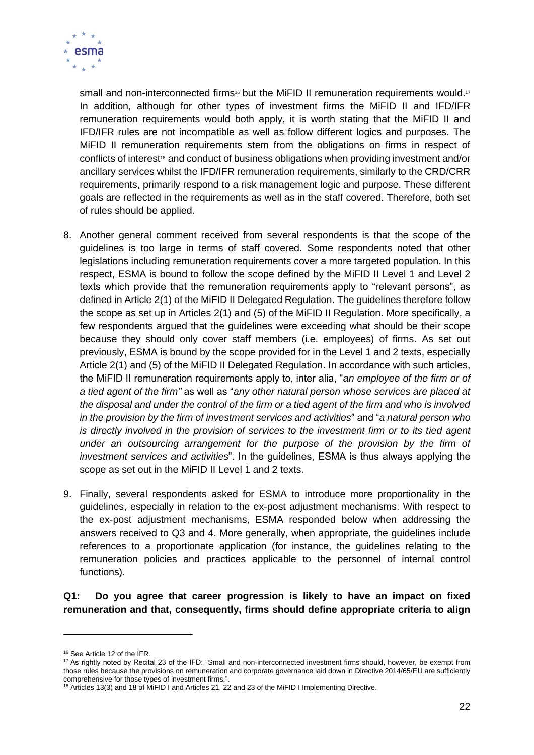

small and non-interconnected firms<sup>16</sup> but the MiFID II remuneration requirements would.<sup>17</sup> In addition, although for other types of investment firms the MiFID II and IFD/IFR remuneration requirements would both apply, it is worth stating that the MiFID II and IFD/IFR rules are not incompatible as well as follow different logics and purposes. The MiFID II remuneration requirements stem from the obligations on firms in respect of conflicts of interest<sup>18</sup> and conduct of business obligations when providing investment and/or ancillary services whilst the IFD/IFR remuneration requirements, similarly to the CRD/CRR requirements, primarily respond to a risk management logic and purpose. These different goals are reflected in the requirements as well as in the staff covered. Therefore, both set of rules should be applied.

- 8. Another general comment received from several respondents is that the scope of the guidelines is too large in terms of staff covered. Some respondents noted that other legislations including remuneration requirements cover a more targeted population. In this respect, ESMA is bound to follow the scope defined by the MiFID II Level 1 and Level 2 texts which provide that the remuneration requirements apply to "relevant persons", as defined in Article 2(1) of the MiFID II Delegated Regulation. The guidelines therefore follow the scope as set up in Articles 2(1) and (5) of the MiFID II Regulation. More specifically, a few respondents argued that the guidelines were exceeding what should be their scope because they should only cover staff members (i.e. employees) of firms. As set out previously, ESMA is bound by the scope provided for in the Level 1 and 2 texts, especially Article 2(1) and (5) of the MiFID II Delegated Regulation. In accordance with such articles, the MiFID II remuneration requirements apply to, inter alia, "*an employee of the firm or of a tied agent of the firm"* as well as "*any other natural person whose services are placed at the disposal and under the control of the firm or a tied agent of the firm and who is involved in the provision by the firm of investment services and activities*" and "*a natural person who*  is directly involved in the provision of services to the investment firm or to its tied agent under an outsourcing arrangement for the purpose of the provision by the firm of *investment services and activities*". In the guidelines, ESMA is thus always applying the scope as set out in the MiFID II Level 1 and 2 texts.
- 9. Finally, several respondents asked for ESMA to introduce more proportionality in the guidelines, especially in relation to the ex-post adjustment mechanisms. With respect to the ex-post adjustment mechanisms, ESMA responded below when addressing the answers received to Q3 and 4. More generally, when appropriate, the guidelines include references to a proportionate application (for instance, the guidelines relating to the remuneration policies and practices applicable to the personnel of internal control functions).

**Q1: Do you agree that career progression is likely to have an impact on fixed remuneration and that, consequently, firms should define appropriate criteria to align** 

<sup>16</sup> See Article 12 of the IFR.

<sup>17</sup> As rightly noted by Recital 23 of the IFD: "Small and non-interconnected investment firms should, however, be exempt from those rules because the provisions on remuneration and corporate governance laid down in Directive 2014/65/EU are sufficiently comprehensive for those types of investment firms."

<sup>&</sup>lt;sup>18</sup> Articles 13(3) and 18 of MiFID I and Articles 21, 22 and 23 of the MiFID I Implementing Directive.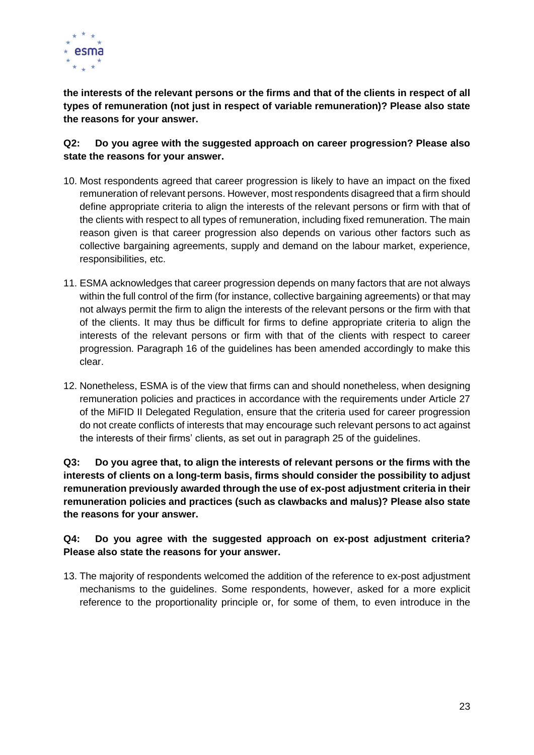

**the interests of the relevant persons or the firms and that of the clients in respect of all types of remuneration (not just in respect of variable remuneration)? Please also state the reasons for your answer.** 

#### **Q2: Do you agree with the suggested approach on career progression? Please also state the reasons for your answer.**

- 10. Most respondents agreed that career progression is likely to have an impact on the fixed remuneration of relevant persons. However, most respondents disagreed that a firm should define appropriate criteria to align the interests of the relevant persons or firm with that of the clients with respect to all types of remuneration, including fixed remuneration. The main reason given is that career progression also depends on various other factors such as collective bargaining agreements, supply and demand on the labour market, experience, responsibilities, etc.
- 11. ESMA acknowledges that career progression depends on many factors that are not always within the full control of the firm (for instance, collective bargaining agreements) or that may not always permit the firm to align the interests of the relevant persons or the firm with that of the clients. It may thus be difficult for firms to define appropriate criteria to align the interests of the relevant persons or firm with that of the clients with respect to career progression. Paragraph [16](#page-23-0) of the guidelines has been amended accordingly to make this clear.
- 12. Nonetheless, ESMA is of the view that firms can and should nonetheless, when designing remuneration policies and practices in accordance with the requirements under Article 27 of the MiFID II Delegated Regulation, ensure that the criteria used for career progression do not create conflicts of interests that may encourage such relevant persons to act against the interests of their firms' clients, as set out in paragraph [25](#page-35-1) of the guidelines.

**Q3: Do you agree that, to align the interests of relevant persons or the firms with the interests of clients on a long-term basis, firms should consider the possibility to adjust remuneration previously awarded through the use of ex-post adjustment criteria in their remuneration policies and practices (such as clawbacks and malus)? Please also state the reasons for your answer.**

#### **Q4: Do you agree with the suggested approach on ex-post adjustment criteria? Please also state the reasons for your answer.**

13. The majority of respondents welcomed the addition of the reference to ex-post adjustment mechanisms to the guidelines. Some respondents, however, asked for a more explicit reference to the proportionality principle or, for some of them, to even introduce in the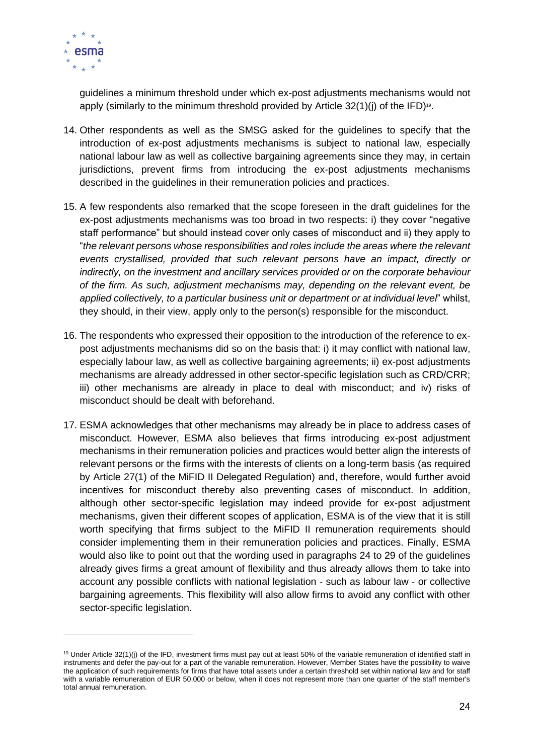

guidelines a minimum threshold under which ex-post adjustments mechanisms would not apply (similarly to the minimum threshold provided by Article 32(1)(j) of the IFD) 19 .

- 14. Other respondents as well as the SMSG asked for the guidelines to specify that the introduction of ex-post adjustments mechanisms is subject to national law, especially national labour law as well as collective bargaining agreements since they may, in certain jurisdictions, prevent firms from introducing the ex-post adjustments mechanisms described in the guidelines in their remuneration policies and practices.
- 15. A few respondents also remarked that the scope foreseen in the draft guidelines for the ex-post adjustments mechanisms was too broad in two respects: i) they cover "negative staff performance" but should instead cover only cases of misconduct and ii) they apply to "*the relevant persons whose responsibilities and roles include the areas where the relevant events crystallised, provided that such relevant persons have an impact, directly or indirectly, on the investment and ancillary services provided or on the corporate behaviour of the firm. As such, adjustment mechanisms may, depending on the relevant event, be applied collectively, to a particular business unit or department or at individual level*" whilst, they should, in their view, apply only to the person(s) responsible for the misconduct.
- <span id="page-23-0"></span>16. The respondents who expressed their opposition to the introduction of the reference to expost adjustments mechanisms did so on the basis that: i) it may conflict with national law, especially labour law, as well as collective bargaining agreements; ii) ex-post adjustments mechanisms are already addressed in other sector-specific legislation such as CRD/CRR; iii) other mechanisms are already in place to deal with misconduct; and iv) risks of misconduct should be dealt with beforehand.
- 17. ESMA acknowledges that other mechanisms may already be in place to address cases of misconduct. However, ESMA also believes that firms introducing ex-post adjustment mechanisms in their remuneration policies and practices would better align the interests of relevant persons or the firms with the interests of clients on a long-term basis (as required by Article 27(1) of the MiFID II Delegated Regulation) and, therefore, would further avoid incentives for misconduct thereby also preventing cases of misconduct. In addition, although other sector-specific legislation may indeed provide for ex-post adjustment mechanisms, given their different scopes of application, ESMA is of the view that it is still worth specifying that firms subject to the MiFID II remuneration requirements should consider implementing them in their remuneration policies and practices. Finally, ESMA would also like to point out that the wording used in paragraphs [24](#page-35-2) to [29](#page-36-0) of the guidelines already gives firms a great amount of flexibility and thus already allows them to take into account any possible conflicts with national legislation - such as labour law - or collective bargaining agreements. This flexibility will also allow firms to avoid any conflict with other sector-specific legislation.

<sup>&</sup>lt;sup>19</sup> Under Article 32(1)(i) of the IFD, investment firms must pay out at least 50% of the variable remuneration of identified staff in instruments and defer the pay-out for a part of the variable remuneration. However, Member States have the possibility to waive the application of such requirements for firms that have total assets under a certain threshold set within national law and for staff with a variable remuneration of EUR 50,000 or below, when it does not represent more than one quarter of the staff member's total annual remuneration.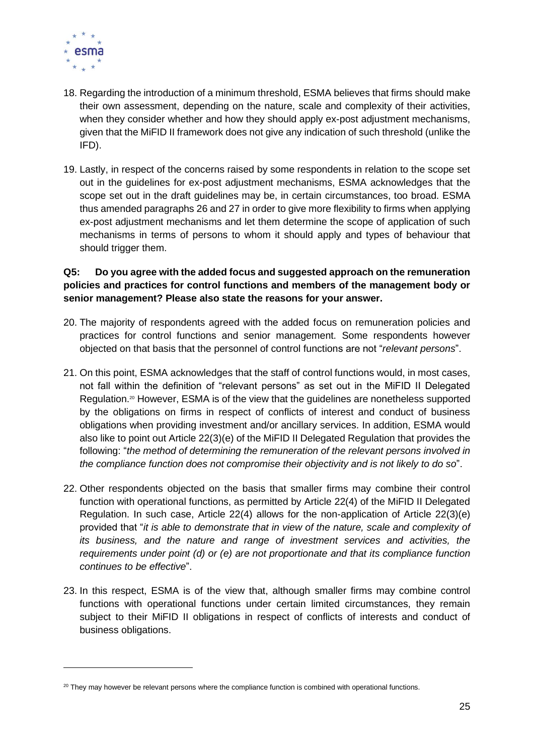

- 18. Regarding the introduction of a minimum threshold, ESMA believes that firms should make their own assessment, depending on the nature, scale and complexity of their activities, when they consider whether and how they should apply ex-post adjustment mechanisms, given that the MiFID II framework does not give any indication of such threshold (unlike the IFD).
- 19. Lastly, in respect of the concerns raised by some respondents in relation to the scope set out in the guidelines for ex-post adjustment mechanisms, ESMA acknowledges that the scope set out in the draft guidelines may be, in certain circumstances, too broad. ESMA thus amended paragraphs [26](#page-35-0) and [27](#page-35-3) in order to give more flexibility to firms when applying ex-post adjustment mechanisms and let them determine the scope of application of such mechanisms in terms of persons to whom it should apply and types of behaviour that should trigger them.

#### **Q5: Do you agree with the added focus and suggested approach on the remuneration policies and practices for control functions and members of the management body or senior management? Please also state the reasons for your answer.**

- 20. The majority of respondents agreed with the added focus on remuneration policies and practices for control functions and senior management. Some respondents however objected on that basis that the personnel of control functions are not "*relevant persons*".
- 21. On this point, ESMA acknowledges that the staff of control functions would, in most cases, not fall within the definition of "relevant persons" as set out in the MiFID II Delegated Regulation.<sup>20</sup> However, ESMA is of the view that the guidelines are nonetheless supported by the obligations on firms in respect of conflicts of interest and conduct of business obligations when providing investment and/or ancillary services. In addition, ESMA would also like to point out Article 22(3)(e) of the MiFID II Delegated Regulation that provides the following: "*the method of determining the remuneration of the relevant persons involved in the compliance function does not compromise their objectivity and is not likely to do so*".
- 22. Other respondents objected on the basis that smaller firms may combine their control function with operational functions, as permitted by Article 22(4) of the MiFID II Delegated Regulation. In such case, Article 22(4) allows for the non-application of Article 22(3)(e) provided that "*it is able to demonstrate that in view of the nature, scale and complexity of its business, and the nature and range of investment services and activities, the requirements under point (d) or (e) are not proportionate and that its compliance function continues to be effective*".
- 23. In this respect, ESMA is of the view that, although smaller firms may combine control functions with operational functions under certain limited circumstances, they remain subject to their MiFID II obligations in respect of conflicts of interests and conduct of business obligations.

 $20$  They may however be relevant persons where the compliance function is combined with operational functions.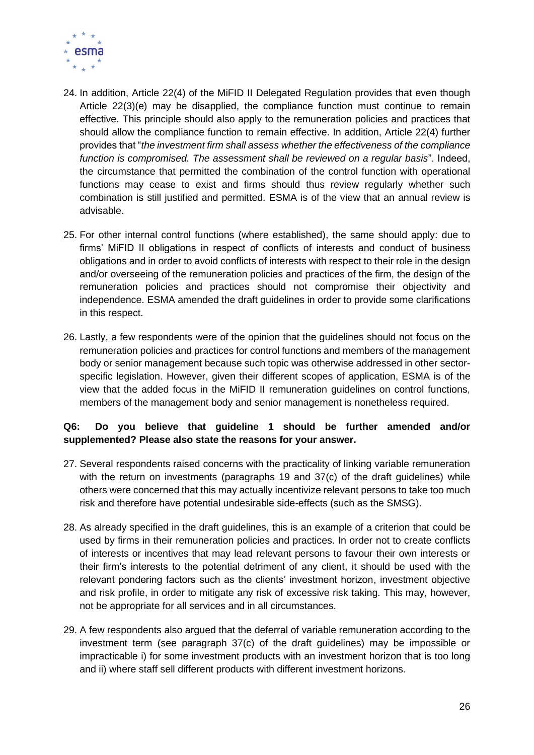

- 24. In addition, Article 22(4) of the MiFID II Delegated Regulation provides that even though Article 22(3)(e) may be disapplied, the compliance function must continue to remain effective. This principle should also apply to the remuneration policies and practices that should allow the compliance function to remain effective. In addition, Article 22(4) further provides that "*the investment firm shall assess whether the effectiveness of the compliance function is compromised. The assessment shall be reviewed on a regular basis*". Indeed, the circumstance that permitted the combination of the control function with operational functions may cease to exist and firms should thus review regularly whether such combination is still justified and permitted. ESMA is of the view that an annual review is advisable.
- 25. For other internal control functions (where established), the same should apply: due to firms' MiFID II obligations in respect of conflicts of interests and conduct of business obligations and in order to avoid conflicts of interests with respect to their role in the design and/or overseeing of the remuneration policies and practices of the firm, the design of the remuneration policies and practices should not compromise their objectivity and independence. ESMA amended the draft guidelines in order to provide some clarifications in this respect.
- 26. Lastly, a few respondents were of the opinion that the guidelines should not focus on the remuneration policies and practices for control functions and members of the management body or senior management because such topic was otherwise addressed in other sectorspecific legislation. However, given their different scopes of application, ESMA is of the view that the added focus in the MiFID II remuneration guidelines on control functions, members of the management body and senior management is nonetheless required.

#### **Q6: Do you believe that guideline 1 should be further amended and/or supplemented? Please also state the reasons for your answer.**

- 27. Several respondents raised concerns with the practicality of linking variable remuneration with the return on investments (paragraphs 19 and 37(c) of the draft guidelines) while others were concerned that this may actually incentivize relevant persons to take too much risk and therefore have potential undesirable side-effects (such as the SMSG).
- 28. As already specified in the draft guidelines, this is an example of a criterion that could be used by firms in their remuneration policies and practices. In order not to create conflicts of interests or incentives that may lead relevant persons to favour their own interests or their firm's interests to the potential detriment of any client, it should be used with the relevant pondering factors such as the clients' investment horizon, investment objective and risk profile, in order to mitigate any risk of excessive risk taking. This may, however, not be appropriate for all services and in all circumstances.
- 29. A few respondents also argued that the deferral of variable remuneration according to the investment term (see paragraph 37(c) of the draft guidelines) may be impossible or impracticable i) for some investment products with an investment horizon that is too long and ii) where staff sell different products with different investment horizons.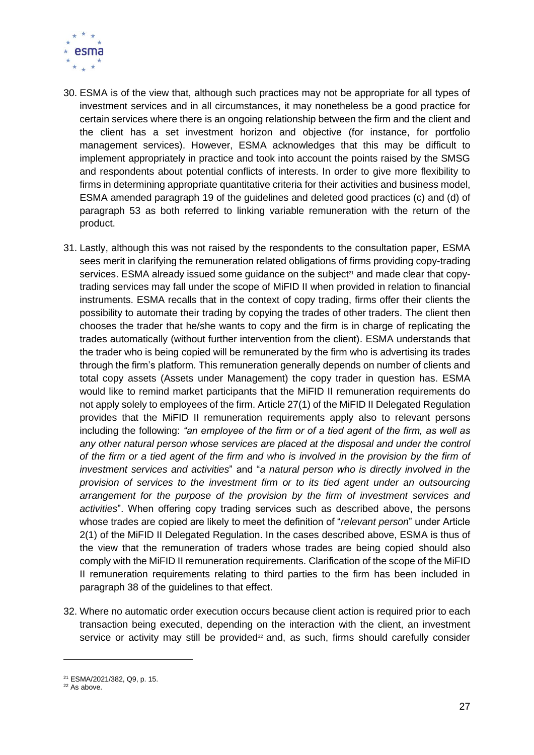

- 30. ESMA is of the view that, although such practices may not be appropriate for all types of investment services and in all circumstances, it may nonetheless be a good practice for certain services where there is an ongoing relationship between the firm and the client and the client has a set investment horizon and objective (for instance, for portfolio management services). However, ESMA acknowledges that this may be difficult to implement appropriately in practice and took into account the points raised by the SMSG and respondents about potential conflicts of interests. In order to give more flexibility to firms in determining appropriate quantitative criteria for their activities and business model, ESMA amended paragraph [19](#page-34-0) of the guidelines and deleted good practices (c) and (d) of paragraph [53](#page-40-0) as both referred to linking variable remuneration with the return of the product.
- 31. Lastly, although this was not raised by the respondents to the consultation paper, ESMA sees merit in clarifying the remuneration related obligations of firms providing copy-trading services. ESMA already issued some quidance on the subject<sup> $21$ </sup> and made clear that copytrading services may fall under the scope of MiFID II when provided in relation to financial instruments. ESMA recalls that in the context of copy trading, firms offer their clients the possibility to automate their trading by copying the trades of other traders. The client then chooses the trader that he/she wants to copy and the firm is in charge of replicating the trades automatically (without further intervention from the client). ESMA understands that the trader who is being copied will be remunerated by the firm who is advertising its trades through the firm's platform. This remuneration generally depends on number of clients and total copy assets (Assets under Management) the copy trader in question has. ESMA would like to remind market participants that the MiFID II remuneration requirements do not apply solely to employees of the firm. Article 27(1) of the MiFID II Delegated Regulation provides that the MiFID II remuneration requirements apply also to relevant persons including the following: *"an employee of the firm or of a tied agent of the firm, as well as*  any other natural person whose services are placed at the disposal and under the control *of the firm or a tied agent of the firm and who is involved in the provision by the firm of investment services and activities*" and "*a natural person who is directly involved in the provision of services to the investment firm or to its tied agent under an outsourcing arrangement for the purpose of the provision by the firm of investment services and activities*". When offering copy trading services such as described above, the persons whose trades are copied are likely to meet the definition of "*relevant person*" under Article 2(1) of the MiFID II Delegated Regulation. In the cases described above, ESMA is thus of the view that the remuneration of traders whose trades are being copied should also comply with the MiFID II remuneration requirements. Clarification of the scope of the MiFID II remuneration requirements relating to third parties to the firm has been included in paragraph [38](#page-37-0) of the guidelines to that effect.
- 32. Where no automatic order execution occurs because client action is required prior to each transaction being executed, depending on the interaction with the client, an investment service or activity may still be provided<sup>22</sup> and, as such, firms should carefully consider

<sup>21</sup> ESMA/2021/382, Q9, p. 15.

 $22$  As above.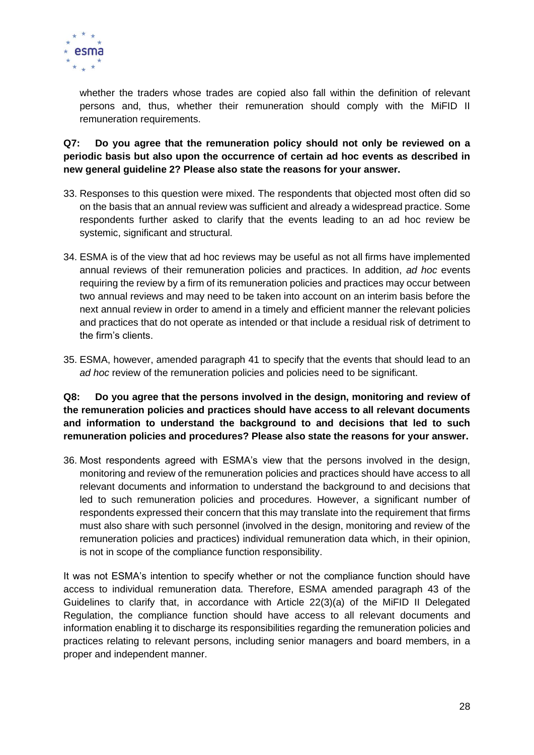

whether the traders whose trades are copied also fall within the definition of relevant persons and, thus, whether their remuneration should comply with the MiFID II remuneration requirements.

#### **Q7: Do you agree that the remuneration policy should not only be reviewed on a periodic basis but also upon the occurrence of certain ad hoc events as described in new general guideline 2? Please also state the reasons for your answer.**

- 33. Responses to this question were mixed. The respondents that objected most often did so on the basis that an annual review was sufficient and already a widespread practice. Some respondents further asked to clarify that the events leading to an ad hoc review be systemic, significant and structural.
- 34. ESMA is of the view that ad hoc reviews may be useful as not all firms have implemented annual reviews of their remuneration policies and practices. In addition, *ad hoc* events requiring the review by a firm of its remuneration policies and practices may occur between two annual reviews and may need to be taken into account on an interim basis before the next annual review in order to amend in a timely and efficient manner the relevant policies and practices that do not operate as intended or that include a residual risk of detriment to the firm's clients.
- 35. ESMA, however, amended paragraph [41](#page-39-0) to specify that the events that should lead to an *ad hoc* review of the remuneration policies and policies need to be significant.

**Q8: Do you agree that the persons involved in the design, monitoring and review of the remuneration policies and practices should have access to all relevant documents and information to understand the background to and decisions that led to such remuneration policies and procedures? Please also state the reasons for your answer.** 

36. Most respondents agreed with ESMA's view that the persons involved in the design, monitoring and review of the remuneration policies and practices should have access to all relevant documents and information to understand the background to and decisions that led to such remuneration policies and procedures. However, a significant number of respondents expressed their concern that this may translate into the requirement that firms must also share with such personnel (involved in the design, monitoring and review of the remuneration policies and practices) individual remuneration data which, in their opinion, is not in scope of the compliance function responsibility.

It was not ESMA's intention to specify whether or not the compliance function should have access to individual remuneration data. Therefore, ESMA amended paragraph [43](#page-39-1) of the Guidelines to clarify that, in accordance with Article 22(3)(a) of the MiFID II Delegated Regulation, the compliance function should have access to all relevant documents and information enabling it to discharge its responsibilities regarding the remuneration policies and practices relating to relevant persons, including senior managers and board members, in a proper and independent manner.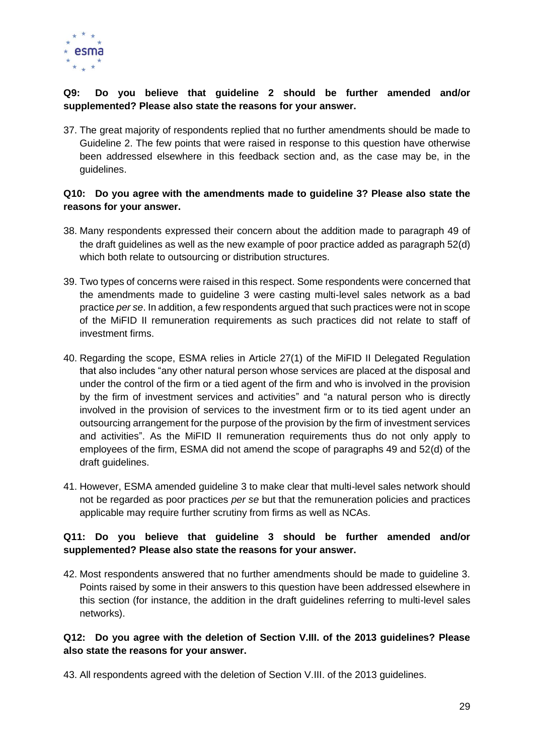

#### **Q9: Do you believe that guideline 2 should be further amended and/or supplemented? Please also state the reasons for your answer.**

37. The great majority of respondents replied that no further amendments should be made to Guideline 2. The few points that were raised in response to this question have otherwise been addressed elsewhere in this feedback section and, as the case may be, in the guidelines.

#### **Q10: Do you agree with the amendments made to guideline 3? Please also state the reasons for your answer.**

- 38. Many respondents expressed their concern about the addition made to paragraph 49 of the draft guidelines as well as the new example of poor practice added as paragraph 52(d) which both relate to outsourcing or distribution structures.
- 39. Two types of concerns were raised in this respect. Some respondents were concerned that the amendments made to guideline 3 were casting multi-level sales network as a bad practice *per se*. In addition, a few respondents argued that such practices were not in scope of the MiFID II remuneration requirements as such practices did not relate to staff of investment firms.
- 40. Regarding the scope, ESMA relies in Article 27(1) of the MiFID II Delegated Regulation that also includes "any other natural person whose services are placed at the disposal and under the control of the firm or a tied agent of the firm and who is involved in the provision by the firm of investment services and activities" and "a natural person who is directly involved in the provision of services to the investment firm or to its tied agent under an outsourcing arrangement for the purpose of the provision by the firm of investment services and activities". As the MiFID II remuneration requirements thus do not only apply to employees of the firm, ESMA did not amend the scope of paragraphs 49 and 52(d) of the draft guidelines.
- 41. However, ESMA amended guideline 3 to make clear that multi-level sales network should not be regarded as poor practices *per se* but that the remuneration policies and practices applicable may require further scrutiny from firms as well as NCAs.

#### **Q11: Do you believe that guideline 3 should be further amended and/or supplemented? Please also state the reasons for your answer.**

42. Most respondents answered that no further amendments should be made to guideline 3. Points raised by some in their answers to this question have been addressed elsewhere in this section (for instance, the addition in the draft guidelines referring to multi-level sales networks).

#### **Q12: Do you agree with the deletion of Section V.III. of the 2013 guidelines? Please also state the reasons for your answer.**

43. All respondents agreed with the deletion of Section V.III. of the 2013 guidelines.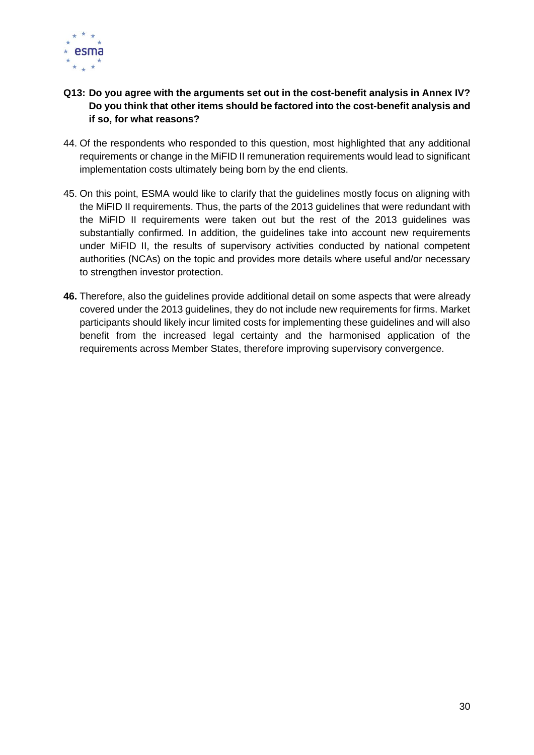

#### **Q13: Do you agree with the arguments set out in the cost-benefit analysis in Annex IV? Do you think that other items should be factored into the cost-benefit analysis and if so, for what reasons?**

- 44. Of the respondents who responded to this question, most highlighted that any additional requirements or change in the MiFID II remuneration requirements would lead to significant implementation costs ultimately being born by the end clients.
- 45. On this point, ESMA would like to clarify that the guidelines mostly focus on aligning with the MiFID II requirements. Thus, the parts of the 2013 guidelines that were redundant with the MiFID II requirements were taken out but the rest of the 2013 guidelines was substantially confirmed. In addition, the guidelines take into account new requirements under MiFID II, the results of supervisory activities conducted by national competent authorities (NCAs) on the topic and provides more details where useful and/or necessary to strengthen investor protection.
- **46.** Therefore, also the guidelines provide additional detail on some aspects that were already covered under the 2013 guidelines, they do not include new requirements for firms. Market participants should likely incur limited costs for implementing these guidelines and will also benefit from the increased legal certainty and the harmonised application of the requirements across Member States, therefore improving supervisory convergence.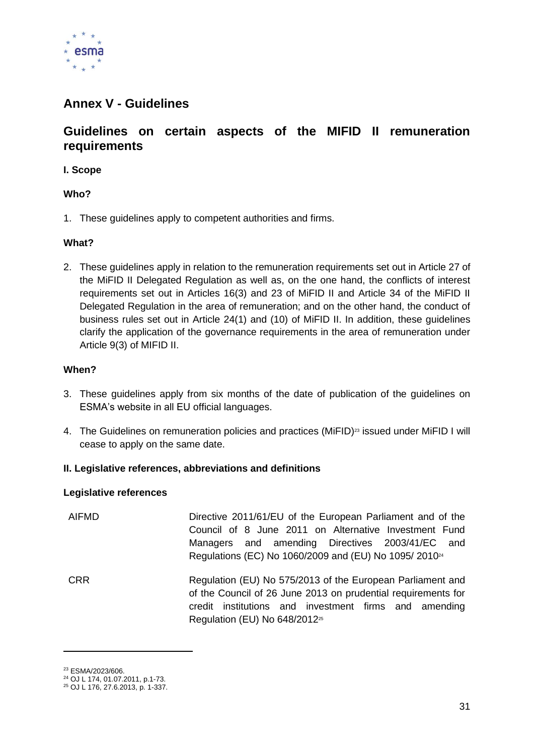

### <span id="page-30-0"></span>**Annex V - Guidelines**

#### **Guidelines on certain aspects of the MIFID II remuneration requirements**

**I. Scope** 

#### **Who?**

1. These guidelines apply to competent authorities and firms.

#### **What?**

2. These guidelines apply in relation to the remuneration requirements set out in Article 27 of the MiFID II Delegated Regulation as well as, on the one hand, the conflicts of interest requirements set out in Articles 16(3) and 23 of MiFID II and Article 34 of the MiFID II Delegated Regulation in the area of remuneration; and on the other hand, the conduct of business rules set out in Article 24(1) and (10) of MiFID II. In addition, these guidelines clarify the application of the governance requirements in the area of remuneration under Article 9(3) of MIFID II.

#### **When?**

- 3. These guidelines apply from six months of the date of publication of the guidelines on ESMA's website in all EU official languages.
- 4. The Guidelines on remuneration policies and practices (MiFID)<sup>23</sup> issued under MiFID I will cease to apply on the same date.

#### **II. Legislative references, abbreviations and definitions**

#### **Legislative references**

- AIFMD Directive 2011/61/EU of the European Parliament and of the Council of 8 June 2011 on Alternative Investment Fund Managers and amending Directives 2003/41/EC and Regulations (EC) No 1060/2009 and (EU) No 1095/ 2010<sup>24</sup>
- CRR Regulation (EU) No 575/2013 of the European Parliament and of the Council of 26 June 2013 on prudential requirements for credit institutions and investment firms and amending Regulation (EU) No 648/2012<sup>25</sup>

<sup>23</sup> ESMA/2023/606.

<sup>24</sup> OJ L 174, 01.07.2011, p.1-73.

<sup>25</sup> OJ L 176, 27.6.2013, p. 1-337.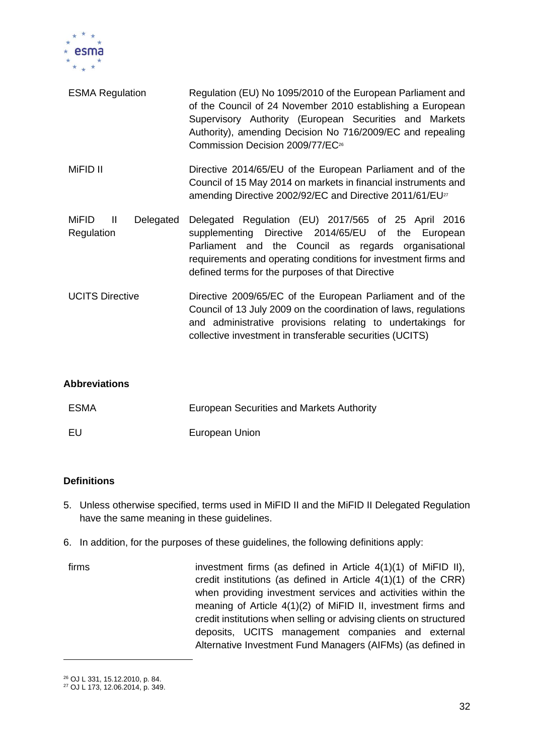

| <b>ESMA Regulation</b>                             | Regulation (EU) No 1095/2010 of the European Parliament and<br>of the Council of 24 November 2010 establishing a European<br>Supervisory Authority (European Securities and Markets<br>Authority), amending Decision No 716/2009/EC and repealing<br>Commission Decision 2009/77/EC <sup>26</sup> |  |
|----------------------------------------------------|---------------------------------------------------------------------------------------------------------------------------------------------------------------------------------------------------------------------------------------------------------------------------------------------------|--|
| MiFID II                                           | Directive 2014/65/EU of the European Parliament and of the<br>Council of 15 May 2014 on markets in financial instruments and<br>amending Directive 2002/92/EC and Directive 2011/61/EU <sup>27</sup>                                                                                              |  |
| MiFID<br>Delegated<br>$\blacksquare$<br>Regulation | Delegated Regulation (EU) 2017/565 of 25 April 2016<br>supplementing Directive 2014/65/EU of the European<br>Parliament and the Council as regards organisational<br>requirements and operating conditions for investment firms and<br>defined terms for the purposes of that Directive           |  |
| <b>UCITS Directive</b>                             | Directive 2009/65/EC of the European Parliament and of the<br>Council of 13 July 2009 on the coordination of laws, regulations<br>and administrative provisions relating to undertakings for<br>collective investment in transferable securities (UCITS)                                          |  |

#### **Abbreviations**

| ESMA | European Securities and Markets Authority |
|------|-------------------------------------------|
| EU   | European Union                            |

#### **Definitions**

- 5. Unless otherwise specified, terms used in MiFID II and the MiFID II Delegated Regulation have the same meaning in these guidelines.
- 6. In addition, for the purposes of these guidelines, the following definitions apply:
- firms investment firms (as defined in Article 4(1)(1) of MiFID II), credit institutions (as defined in Article 4(1)(1) of the CRR) when providing investment services and activities within the meaning of Article 4(1)(2) of MiFID II, investment firms and credit institutions when selling or advising clients on structured deposits, UCITS management companies and external Alternative Investment Fund Managers (AIFMs) (as defined in

<sup>26</sup> OJ L 331, 15.12.2010, p. 84.

<sup>27</sup> OJ L 173, 12.06.2014, p. 349.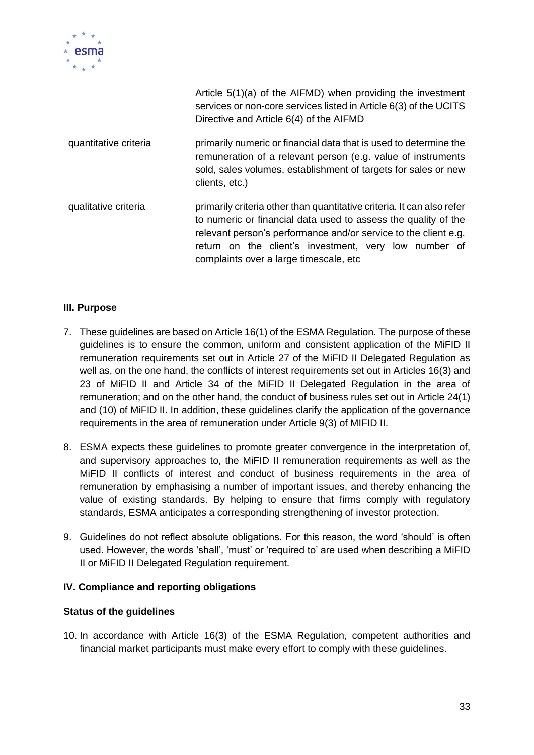

|                       | Article 5(1)(a) of the AIFMD) when providing the investment<br>services or non-core services listed in Article 6(3) of the UCITS<br>Directive and Article 6(4) of the AIFMD                                                                                                                                     |
|-----------------------|-----------------------------------------------------------------------------------------------------------------------------------------------------------------------------------------------------------------------------------------------------------------------------------------------------------------|
| quantitative criteria | primarily numeric or financial data that is used to determine the<br>remuneration of a relevant person (e.g. value of instruments<br>sold, sales volumes, establishment of targets for sales or new<br>clients, etc.)                                                                                           |
| qualitative criteria  | primarily criteria other than quantitative criteria. It can also refer<br>to numeric or financial data used to assess the quality of the<br>relevant person's performance and/or service to the client e.g.<br>return on the client's investment, very low number of<br>complaints over a large timescale, etc. |

#### **III. Purpose**

- 7. These guidelines are based on Article 16(1) of the ESMA Regulation. The purpose of these guidelines is to ensure the common, uniform and consistent application of the MiFID II remuneration requirements set out in Article 27 of the MiFID II Delegated Regulation as well as, on the one hand, the conflicts of interest requirements set out in Articles 16(3) and 23 of MiFID II and Article 34 of the MiFID II Delegated Regulation in the area of remuneration; and on the other hand, the conduct of business rules set out in Article 24(1) and (10) of MiFID II. In addition, these guidelines clarify the application of the governance requirements in the area of remuneration under Article 9(3) of MIFID II.
- 8. ESMA expects these guidelines to promote greater convergence in the interpretation of, and supervisory approaches to, the MiFID II remuneration requirements as well as the MiFID II conflicts of interest and conduct of business requirements in the area of remuneration by emphasising a number of important issues, and thereby enhancing the value of existing standards. By helping to ensure that firms comply with regulatory standards, ESMA anticipates a corresponding strengthening of investor protection.
- 9. Guidelines do not reflect absolute obligations. For this reason, the word 'should' is often used. However, the words 'shall', 'must' or 'required to' are used when describing a MiFID II or MiFID II Delegated Regulation requirement.

#### **IV. Compliance and reporting obligations**

#### **Status of the guidelines**

10. In accordance with Article 16(3) of the ESMA Regulation, competent authorities and financial market participants must make every effort to comply with these guidelines.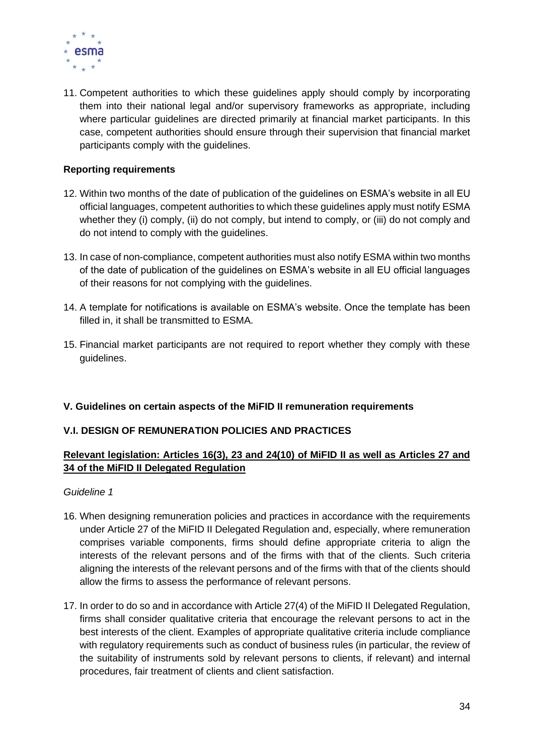

11. Competent authorities to which these guidelines apply should comply by incorporating them into their national legal and/or supervisory frameworks as appropriate, including where particular guidelines are directed primarily at financial market participants. In this case, competent authorities should ensure through their supervision that financial market participants comply with the guidelines.

#### **Reporting requirements**

- 12. Within two months of the date of publication of the guidelines on ESMA's website in all EU official languages, competent authorities to which these guidelines apply must notify ESMA whether they (i) comply, (ii) do not comply, but intend to comply, or (iii) do not comply and do not intend to comply with the guidelines.
- 13. In case of non-compliance, competent authorities must also notify ESMA within two months of the date of publication of the guidelines on ESMA's website in all EU official languages of their reasons for not complying with the guidelines.
- 14. A template for notifications is available on ESMA's website. Once the template has been filled in, it shall be transmitted to ESMA.
- 15. Financial market participants are not required to report whether they comply with these guidelines.

#### **V. Guidelines on certain aspects of the MiFID II remuneration requirements**

#### **V.I. DESIGN OF REMUNERATION POLICIES AND PRACTICES**

#### **Relevant legislation: Articles 16(3), 23 and 24(10) of MiFID II as well as Articles 27 and 34 of the MiFID II Delegated Regulation**

#### *Guideline 1*

- 16. When designing remuneration policies and practices in accordance with the requirements under Article 27 of the MiFID II Delegated Regulation and, especially, where remuneration comprises variable components, firms should define appropriate criteria to align the interests of the relevant persons and of the firms with that of the clients. Such criteria aligning the interests of the relevant persons and of the firms with that of the clients should allow the firms to assess the performance of relevant persons.
- 17. In order to do so and in accordance with Article 27(4) of the MiFID II Delegated Regulation, firms shall consider qualitative criteria that encourage the relevant persons to act in the best interests of the client. Examples of appropriate qualitative criteria include compliance with regulatory requirements such as conduct of business rules (in particular, the review of the suitability of instruments sold by relevant persons to clients, if relevant) and internal procedures, fair treatment of clients and client satisfaction.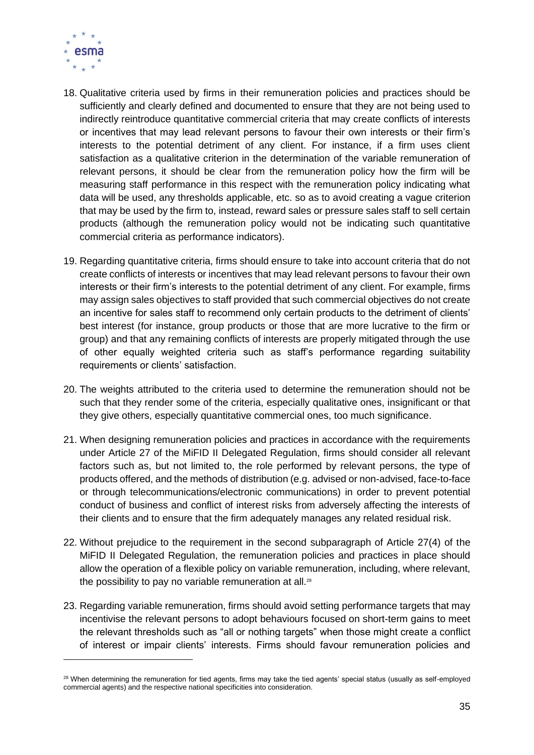

- 18. Qualitative criteria used by firms in their remuneration policies and practices should be sufficiently and clearly defined and documented to ensure that they are not being used to indirectly reintroduce quantitative commercial criteria that may create conflicts of interests or incentives that may lead relevant persons to favour their own interests or their firm's interests to the potential detriment of any client. For instance, if a firm uses client satisfaction as a qualitative criterion in the determination of the variable remuneration of relevant persons, it should be clear from the remuneration policy how the firm will be measuring staff performance in this respect with the remuneration policy indicating what data will be used, any thresholds applicable, etc. so as to avoid creating a vague criterion that may be used by the firm to, instead, reward sales or pressure sales staff to sell certain products (although the remuneration policy would not be indicating such quantitative commercial criteria as performance indicators).
- <span id="page-34-0"></span>19. Regarding quantitative criteria, firms should ensure to take into account criteria that do not create conflicts of interests or incentives that may lead relevant persons to favour their own interests or their firm's interests to the potential detriment of any client. For example, firms may assign sales objectives to staff provided that such commercial objectives do not create an incentive for sales staff to recommend only certain products to the detriment of clients' best interest (for instance, group products or those that are more lucrative to the firm or group) and that any remaining conflicts of interests are properly mitigated through the use of other equally weighted criteria such as staff's performance regarding suitability requirements or clients' satisfaction.
- 20. The weights attributed to the criteria used to determine the remuneration should not be such that they render some of the criteria, especially qualitative ones, insignificant or that they give others, especially quantitative commercial ones, too much significance.
- 21. When designing remuneration policies and practices in accordance with the requirements under Article 27 of the MiFID II Delegated Regulation, firms should consider all relevant factors such as, but not limited to, the role performed by relevant persons, the type of products offered, and the methods of distribution (e.g. advised or non-advised, face-to-face or through telecommunications/electronic communications) in order to prevent potential conduct of business and conflict of interest risks from adversely affecting the interests of their clients and to ensure that the firm adequately manages any related residual risk.
- 22. Without prejudice to the requirement in the second subparagraph of Article 27(4) of the MiFID II Delegated Regulation, the remuneration policies and practices in place should allow the operation of a flexible policy on variable remuneration, including, where relevant, the possibility to pay no variable remuneration at all.<sup>28</sup>
- 23. Regarding variable remuneration, firms should avoid setting performance targets that may incentivise the relevant persons to adopt behaviours focused on short-term gains to meet the relevant thresholds such as "all or nothing targets" when those might create a conflict of interest or impair clients' interests. Firms should favour remuneration policies and

 $28$  When determining the remuneration for tied agents, firms may take the tied agents' special status (usually as self-employed commercial agents) and the respective national specificities into consideration.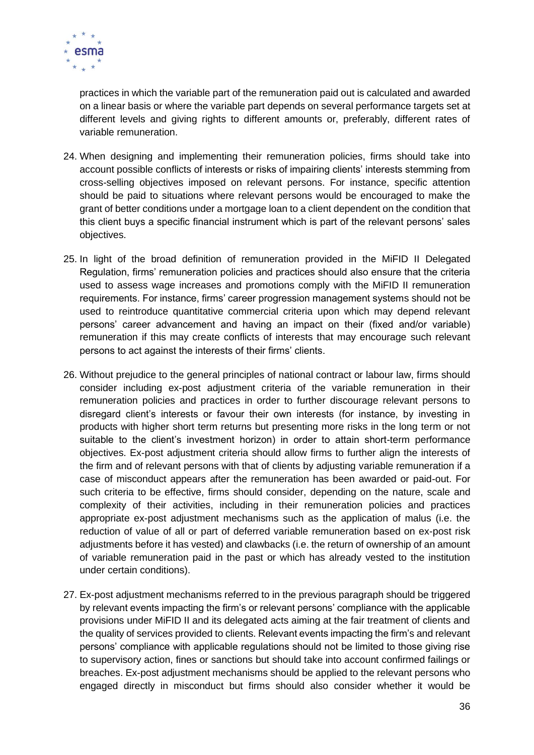

practices in which the variable part of the remuneration paid out is calculated and awarded on a linear basis or where the variable part depends on several performance targets set at different levels and giving rights to different amounts or, preferably, different rates of variable remuneration.

- <span id="page-35-2"></span>24. When designing and implementing their remuneration policies, firms should take into account possible conflicts of interests or risks of impairing clients' interests stemming from cross-selling objectives imposed on relevant persons. For instance, specific attention should be paid to situations where relevant persons would be encouraged to make the grant of better conditions under a mortgage loan to a client dependent on the condition that this client buys a specific financial instrument which is part of the relevant persons' sales objectives.
- <span id="page-35-1"></span>25. In light of the broad definition of remuneration provided in the MiFID II Delegated Regulation, firms' remuneration policies and practices should also ensure that the criteria used to assess wage increases and promotions comply with the MiFID II remuneration requirements. For instance, firms' career progression management systems should not be used to reintroduce quantitative commercial criteria upon which may depend relevant persons' career advancement and having an impact on their (fixed and/or variable) remuneration if this may create conflicts of interests that may encourage such relevant persons to act against the interests of their firms' clients.
- <span id="page-35-0"></span>26. Without prejudice to the general principles of national contract or labour law, firms should consider including ex-post adjustment criteria of the variable remuneration in their remuneration policies and practices in order to further discourage relevant persons to disregard client's interests or favour their own interests (for instance, by investing in products with higher short term returns but presenting more risks in the long term or not suitable to the client's investment horizon) in order to attain short-term performance objectives. Ex-post adjustment criteria should allow firms to further align the interests of the firm and of relevant persons with that of clients by adjusting variable remuneration if a case of misconduct appears after the remuneration has been awarded or paid-out. For such criteria to be effective, firms should consider, depending on the nature, scale and complexity of their activities, including in their remuneration policies and practices appropriate ex-post adjustment mechanisms such as the application of malus (i.e. the reduction of value of all or part of deferred variable remuneration based on ex-post risk adjustments before it has vested) and clawbacks (i.e. the return of ownership of an amount of variable remuneration paid in the past or which has already vested to the institution under certain conditions).
- <span id="page-35-3"></span>27. Ex-post adjustment mechanisms referred to in the previous paragraph should be triggered by relevant events impacting the firm's or relevant persons' compliance with the applicable provisions under MiFID II and its delegated acts aiming at the fair treatment of clients and the quality of services provided to clients. Relevant events impacting the firm's and relevant persons' compliance with applicable regulations should not be limited to those giving rise to supervisory action, fines or sanctions but should take into account confirmed failings or breaches. Ex-post adjustment mechanisms should be applied to the relevant persons who engaged directly in misconduct but firms should also consider whether it would be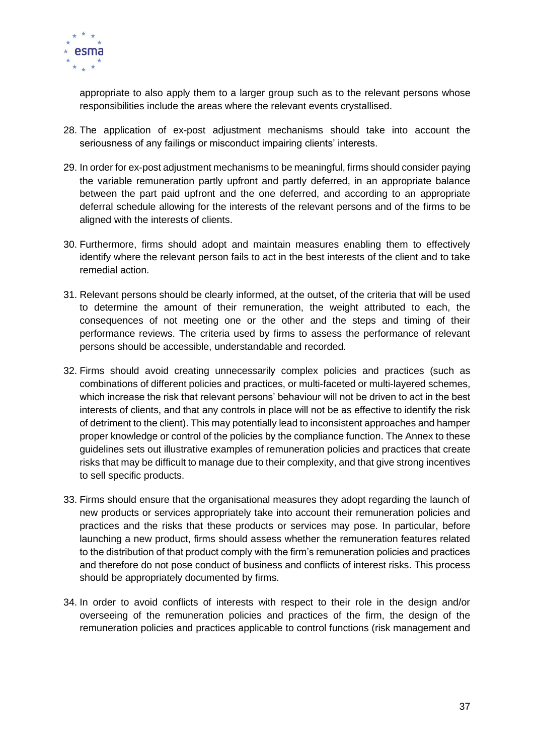

appropriate to also apply them to a larger group such as to the relevant persons whose responsibilities include the areas where the relevant events crystallised.

- 28. The application of ex-post adjustment mechanisms should take into account the seriousness of any failings or misconduct impairing clients' interests.
- <span id="page-36-0"></span>29. In order for ex-post adjustment mechanisms to be meaningful, firms should consider paying the variable remuneration partly upfront and partly deferred, in an appropriate balance between the part paid upfront and the one deferred, and according to an appropriate deferral schedule allowing for the interests of the relevant persons and of the firms to be aligned with the interests of clients.
- 30. Furthermore, firms should adopt and maintain measures enabling them to effectively identify where the relevant person fails to act in the best interests of the client and to take remedial action.
- 31. Relevant persons should be clearly informed, at the outset, of the criteria that will be used to determine the amount of their remuneration, the weight attributed to each, the consequences of not meeting one or the other and the steps and timing of their performance reviews. The criteria used by firms to assess the performance of relevant persons should be accessible, understandable and recorded.
- 32. Firms should avoid creating unnecessarily complex policies and practices (such as combinations of different policies and practices, or multi-faceted or multi-layered schemes, which increase the risk that relevant persons' behaviour will not be driven to act in the best interests of clients, and that any controls in place will not be as effective to identify the risk of detriment to the client). This may potentially lead to inconsistent approaches and hamper proper knowledge or control of the policies by the compliance function. The Annex to these guidelines sets out illustrative examples of remuneration policies and practices that create risks that may be difficult to manage due to their complexity, and that give strong incentives to sell specific products.
- 33. Firms should ensure that the organisational measures they adopt regarding the launch of new products or services appropriately take into account their remuneration policies and practices and the risks that these products or services may pose. In particular, before launching a new product, firms should assess whether the remuneration features related to the distribution of that product comply with the firm's remuneration policies and practices and therefore do not pose conduct of business and conflicts of interest risks. This process should be appropriately documented by firms.
- 34. In order to avoid conflicts of interests with respect to their role in the design and/or overseeing of the remuneration policies and practices of the firm, the design of the remuneration policies and practices applicable to control functions (risk management and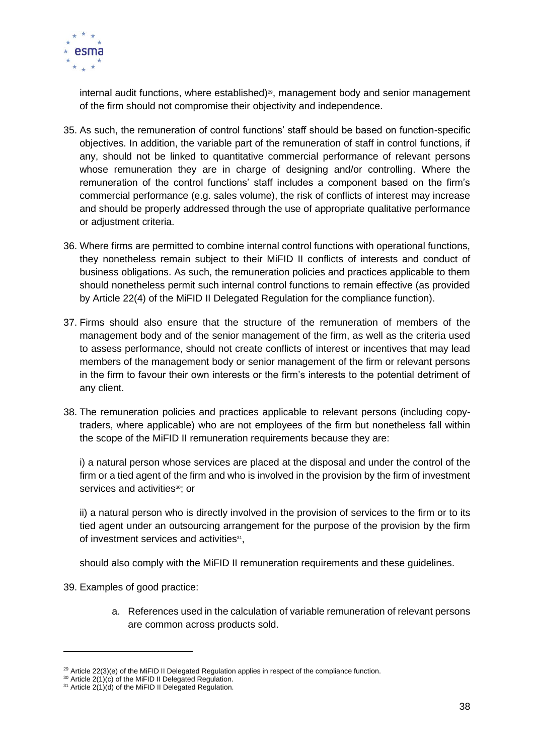

internal audit functions, where established) $29$ , management body and senior management of the firm should not compromise their objectivity and independence.

- 35. As such, the remuneration of control functions' staff should be based on function-specific objectives. In addition, the variable part of the remuneration of staff in control functions, if any, should not be linked to quantitative commercial performance of relevant persons whose remuneration they are in charge of designing and/or controlling. Where the remuneration of the control functions' staff includes a component based on the firm's commercial performance (e.g. sales volume), the risk of conflicts of interest may increase and should be properly addressed through the use of appropriate qualitative performance or adjustment criteria.
- 36. Where firms are permitted to combine internal control functions with operational functions, they nonetheless remain subject to their MiFID II conflicts of interests and conduct of business obligations. As such, the remuneration policies and practices applicable to them should nonetheless permit such internal control functions to remain effective (as provided by Article 22(4) of the MiFID II Delegated Regulation for the compliance function).
- 37. Firms should also ensure that the structure of the remuneration of members of the management body and of the senior management of the firm, as well as the criteria used to assess performance, should not create conflicts of interest or incentives that may lead members of the management body or senior management of the firm or relevant persons in the firm to favour their own interests or the firm's interests to the potential detriment of any client.
- <span id="page-37-0"></span>38. The remuneration policies and practices applicable to relevant persons (including copytraders, where applicable) who are not employees of the firm but nonetheless fall within the scope of the MiFID II remuneration requirements because they are:

i) a natural person whose services are placed at the disposal and under the control of the firm or a tied agent of the firm and who is involved in the provision by the firm of investment services and activities<sup>30</sup>; or

ii) a natural person who is directly involved in the provision of services to the firm or to its tied agent under an outsourcing arrangement for the purpose of the provision by the firm of investment services and activities<sup>31</sup>,

should also comply with the MiFID II remuneration requirements and these guidelines.

39. Examples of good practice:

a. References used in the calculation of variable remuneration of relevant persons are common across products sold.

 $29$  Article 22(3)(e) of the MiFID II Delegated Regulation applies in respect of the compliance function.

<sup>&</sup>lt;sup>30</sup> Article 2(1)(c) of the MiFID II Delegated Regulation.

<sup>&</sup>lt;sup>31</sup> Article 2(1)(d) of the MiFID II Delegated Regulation.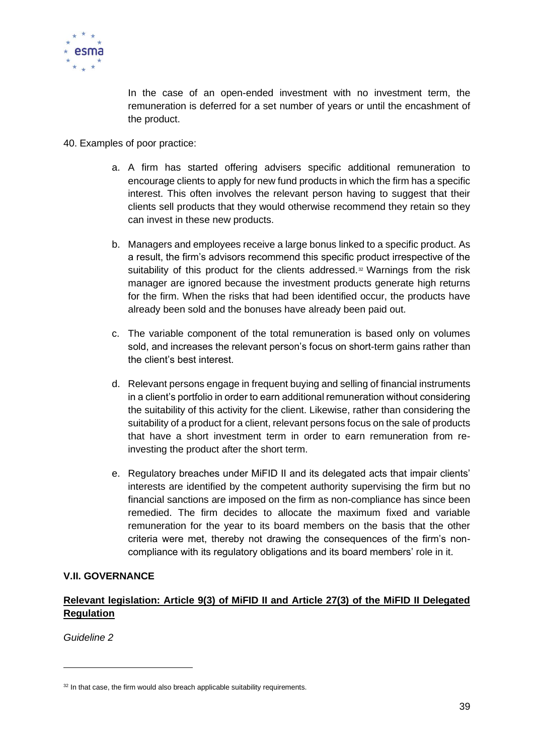

In the case of an open-ended investment with no investment term, the remuneration is deferred for a set number of years or until the encashment of the product.

- 40. Examples of poor practice:
	- a. A firm has started offering advisers specific additional remuneration to encourage clients to apply for new fund products in which the firm has a specific interest. This often involves the relevant person having to suggest that their clients sell products that they would otherwise recommend they retain so they can invest in these new products.
	- b. Managers and employees receive a large bonus linked to a specific product. As a result, the firm's advisors recommend this specific product irrespective of the suitability of this product for the clients addressed. $32$  Warnings from the risk manager are ignored because the investment products generate high returns for the firm. When the risks that had been identified occur, the products have already been sold and the bonuses have already been paid out.
	- c. The variable component of the total remuneration is based only on volumes sold, and increases the relevant person's focus on short-term gains rather than the client's best interest.
	- d. Relevant persons engage in frequent buying and selling of financial instruments in a client's portfolio in order to earn additional remuneration without considering the suitability of this activity for the client. Likewise, rather than considering the suitability of a product for a client, relevant persons focus on the sale of products that have a short investment term in order to earn remuneration from reinvesting the product after the short term.
	- e. Regulatory breaches under MiFID II and its delegated acts that impair clients' interests are identified by the competent authority supervising the firm but no financial sanctions are imposed on the firm as non-compliance has since been remedied. The firm decides to allocate the maximum fixed and variable remuneration for the year to its board members on the basis that the other criteria were met, thereby not drawing the consequences of the firm's noncompliance with its regulatory obligations and its board members' role in it.

#### **V.II. GOVERNANCE**

#### **Relevant legislation: Article 9(3) of MiFID II and Article 27(3) of the MiFID II Delegated Regulation**

*Guideline 2* 

 $32$  In that case, the firm would also breach applicable suitability requirements.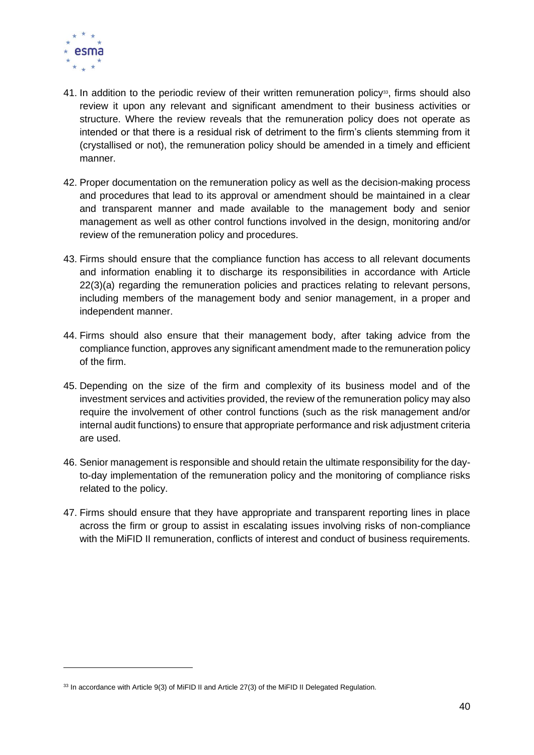

- <span id="page-39-0"></span>41. In addition to the periodic review of their written remuneration policy<sup>33</sup>, firms should also review it upon any relevant and significant amendment to their business activities or structure. Where the review reveals that the remuneration policy does not operate as intended or that there is a residual risk of detriment to the firm's clients stemming from it (crystallised or not), the remuneration policy should be amended in a timely and efficient manner.
- 42. Proper documentation on the remuneration policy as well as the decision-making process and procedures that lead to its approval or amendment should be maintained in a clear and transparent manner and made available to the management body and senior management as well as other control functions involved in the design, monitoring and/or review of the remuneration policy and procedures.
- <span id="page-39-1"></span>43. Firms should ensure that the compliance function has access to all relevant documents and information enabling it to discharge its responsibilities in accordance with Article 22(3)(a) regarding the remuneration policies and practices relating to relevant persons, including members of the management body and senior management, in a proper and independent manner.
- 44. Firms should also ensure that their management body, after taking advice from the compliance function, approves any significant amendment made to the remuneration policy of the firm.
- 45. Depending on the size of the firm and complexity of its business model and of the investment services and activities provided, the review of the remuneration policy may also require the involvement of other control functions (such as the risk management and/or internal audit functions) to ensure that appropriate performance and risk adjustment criteria are used.
- 46. Senior management is responsible and should retain the ultimate responsibility for the dayto-day implementation of the remuneration policy and the monitoring of compliance risks related to the policy.
- 47. Firms should ensure that they have appropriate and transparent reporting lines in place across the firm or group to assist in escalating issues involving risks of non-compliance with the MiFID II remuneration, conflicts of interest and conduct of business requirements.

<sup>33</sup> In accordance with Article 9(3) of MiFID II and Article 27(3) of the MiFID II Delegated Regulation.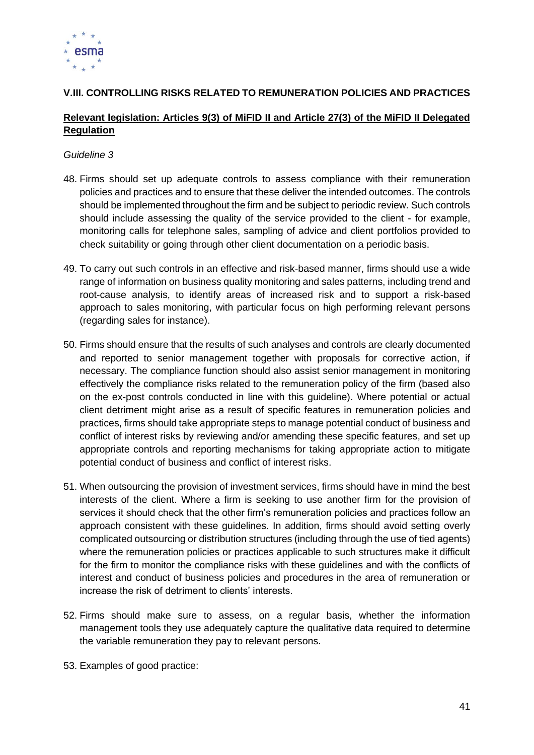

#### **V.III. CONTROLLING RISKS RELATED TO REMUNERATION POLICIES AND PRACTICES**

#### **Relevant legislation: Articles 9(3) of MiFID II and Article 27(3) of the MiFID II Delegated Regulation**

#### *Guideline 3*

- 48. Firms should set up adequate controls to assess compliance with their remuneration policies and practices and to ensure that these deliver the intended outcomes. The controls should be implemented throughout the firm and be subject to periodic review. Such controls should include assessing the quality of the service provided to the client - for example, monitoring calls for telephone sales, sampling of advice and client portfolios provided to check suitability or going through other client documentation on a periodic basis.
- 49. To carry out such controls in an effective and risk-based manner, firms should use a wide range of information on business quality monitoring and sales patterns, including trend and root-cause analysis, to identify areas of increased risk and to support a risk-based approach to sales monitoring, with particular focus on high performing relevant persons (regarding sales for instance).
- 50. Firms should ensure that the results of such analyses and controls are clearly documented and reported to senior management together with proposals for corrective action, if necessary. The compliance function should also assist senior management in monitoring effectively the compliance risks related to the remuneration policy of the firm (based also on the ex-post controls conducted in line with this guideline). Where potential or actual client detriment might arise as a result of specific features in remuneration policies and practices, firms should take appropriate steps to manage potential conduct of business and conflict of interest risks by reviewing and/or amending these specific features, and set up appropriate controls and reporting mechanisms for taking appropriate action to mitigate potential conduct of business and conflict of interest risks.
- 51. When outsourcing the provision of investment services, firms should have in mind the best interests of the client. Where a firm is seeking to use another firm for the provision of services it should check that the other firm's remuneration policies and practices follow an approach consistent with these guidelines. In addition, firms should avoid setting overly complicated outsourcing or distribution structures (including through the use of tied agents) where the remuneration policies or practices applicable to such structures make it difficult for the firm to monitor the compliance risks with these guidelines and with the conflicts of interest and conduct of business policies and procedures in the area of remuneration or increase the risk of detriment to clients' interests.
- 52. Firms should make sure to assess, on a regular basis, whether the information management tools they use adequately capture the qualitative data required to determine the variable remuneration they pay to relevant persons.
- <span id="page-40-0"></span>53. Examples of good practice: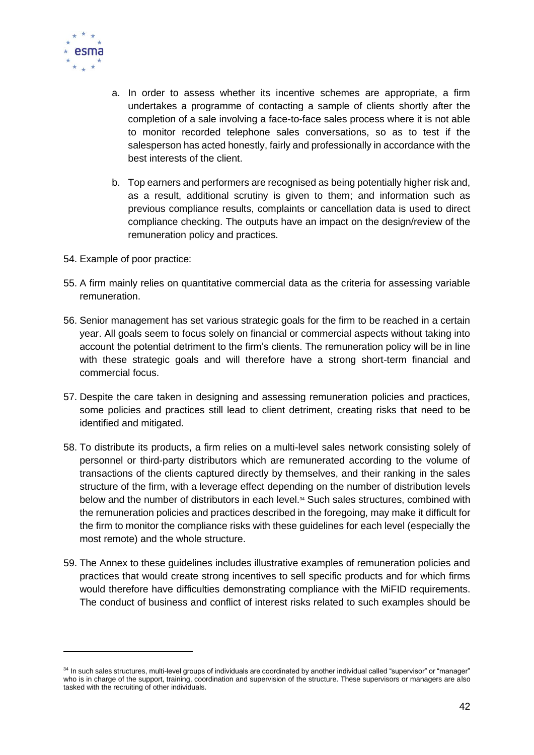

- a. In order to assess whether its incentive schemes are appropriate, a firm undertakes a programme of contacting a sample of clients shortly after the completion of a sale involving a face-to-face sales process where it is not able to monitor recorded telephone sales conversations, so as to test if the salesperson has acted honestly, fairly and professionally in accordance with the best interests of the client.
- b. Top earners and performers are recognised as being potentially higher risk and, as a result, additional scrutiny is given to them; and information such as previous compliance results, complaints or cancellation data is used to direct compliance checking. The outputs have an impact on the design/review of the remuneration policy and practices.
- 54. Example of poor practice:
- 55. A firm mainly relies on quantitative commercial data as the criteria for assessing variable remuneration.
- 56. Senior management has set various strategic goals for the firm to be reached in a certain year. All goals seem to focus solely on financial or commercial aspects without taking into account the potential detriment to the firm's clients. The remuneration policy will be in line with these strategic goals and will therefore have a strong short-term financial and commercial focus.
- 57. Despite the care taken in designing and assessing remuneration policies and practices, some policies and practices still lead to client detriment, creating risks that need to be identified and mitigated.
- 58. To distribute its products, a firm relies on a multi-level sales network consisting solely of personnel or third-party distributors which are remunerated according to the volume of transactions of the clients captured directly by themselves, and their ranking in the sales structure of the firm, with a leverage effect depending on the number of distribution levels below and the number of distributors in each level. <sup>34</sup> Such sales structures, combined with the remuneration policies and practices described in the foregoing, may make it difficult for the firm to monitor the compliance risks with these guidelines for each level (especially the most remote) and the whole structure.
- 59. The Annex to these guidelines includes illustrative examples of remuneration policies and practices that would create strong incentives to sell specific products and for which firms would therefore have difficulties demonstrating compliance with the MiFID requirements. The conduct of business and conflict of interest risks related to such examples should be

<sup>34</sup> In such sales structures, multi-level groups of individuals are coordinated by another individual called "supervisor" or "manager" who is in charge of the support, training, coordination and supervision of the structure. These supervisors or managers are also tasked with the recruiting of other individuals.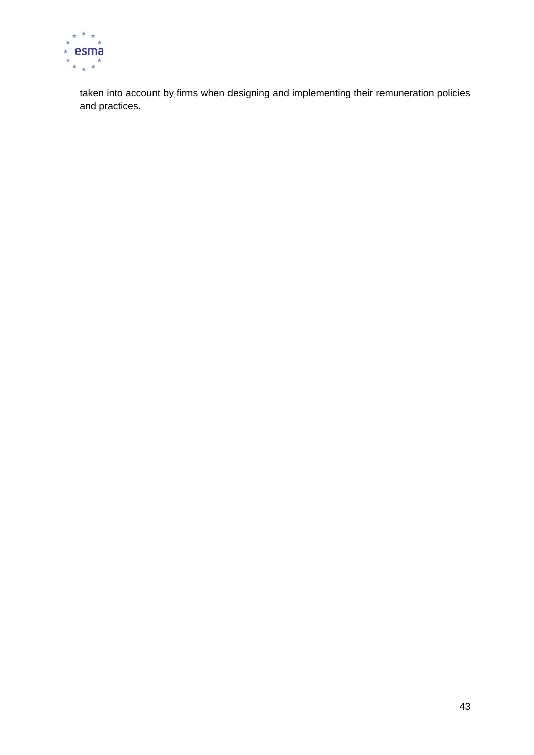

taken into account by firms when designing and implementing their remuneration policies and practices.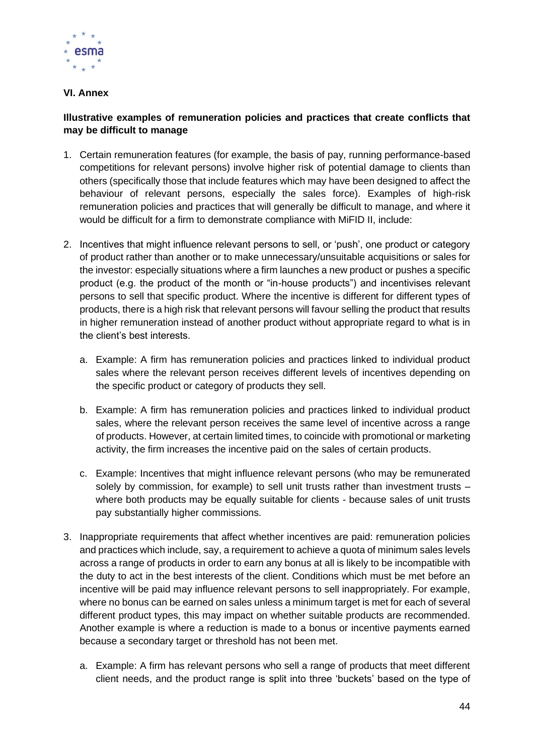

#### **VI. Annex**

#### **Illustrative examples of remuneration policies and practices that create conflicts that may be difficult to manage**

- 1. Certain remuneration features (for example, the basis of pay, running performance-based competitions for relevant persons) involve higher risk of potential damage to clients than others (specifically those that include features which may have been designed to affect the behaviour of relevant persons, especially the sales force). Examples of high-risk remuneration policies and practices that will generally be difficult to manage, and where it would be difficult for a firm to demonstrate compliance with MiFID II, include:
- 2. Incentives that might influence relevant persons to sell, or 'push', one product or category of product rather than another or to make unnecessary/unsuitable acquisitions or sales for the investor: especially situations where a firm launches a new product or pushes a specific product (e.g. the product of the month or "in-house products") and incentivises relevant persons to sell that specific product. Where the incentive is different for different types of products, there is a high risk that relevant persons will favour selling the product that results in higher remuneration instead of another product without appropriate regard to what is in the client's best interests.
	- a. Example: A firm has remuneration policies and practices linked to individual product sales where the relevant person receives different levels of incentives depending on the specific product or category of products they sell.
	- b. Example: A firm has remuneration policies and practices linked to individual product sales, where the relevant person receives the same level of incentive across a range of products. However, at certain limited times, to coincide with promotional or marketing activity, the firm increases the incentive paid on the sales of certain products.
	- c. Example: Incentives that might influence relevant persons (who may be remunerated solely by commission, for example) to sell unit trusts rather than investment trusts – where both products may be equally suitable for clients - because sales of unit trusts pay substantially higher commissions.
- 3. Inappropriate requirements that affect whether incentives are paid: remuneration policies and practices which include, say, a requirement to achieve a quota of minimum sales levels across a range of products in order to earn any bonus at all is likely to be incompatible with the duty to act in the best interests of the client. Conditions which must be met before an incentive will be paid may influence relevant persons to sell inappropriately. For example, where no bonus can be earned on sales unless a minimum target is met for each of several different product types, this may impact on whether suitable products are recommended. Another example is where a reduction is made to a bonus or incentive payments earned because a secondary target or threshold has not been met.
	- a. Example: A firm has relevant persons who sell a range of products that meet different client needs, and the product range is split into three 'buckets' based on the type of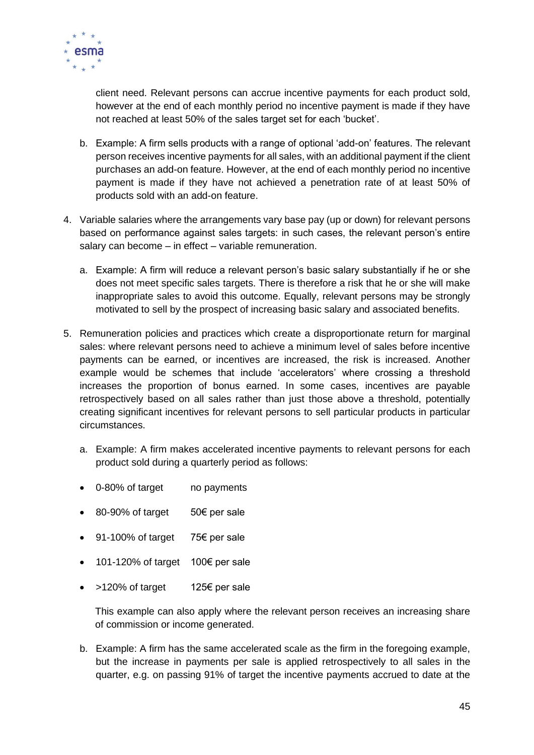

client need. Relevant persons can accrue incentive payments for each product sold, however at the end of each monthly period no incentive payment is made if they have not reached at least 50% of the sales target set for each 'bucket'.

- b. Example: A firm sells products with a range of optional 'add-on' features. The relevant person receives incentive payments for all sales, with an additional payment if the client purchases an add-on feature. However, at the end of each monthly period no incentive payment is made if they have not achieved a penetration rate of at least 50% of products sold with an add-on feature.
- 4. Variable salaries where the arrangements vary base pay (up or down) for relevant persons based on performance against sales targets: in such cases, the relevant person's entire salary can become – in effect – variable remuneration.
	- a. Example: A firm will reduce a relevant person's basic salary substantially if he or she does not meet specific sales targets. There is therefore a risk that he or she will make inappropriate sales to avoid this outcome. Equally, relevant persons may be strongly motivated to sell by the prospect of increasing basic salary and associated benefits.
- 5. Remuneration policies and practices which create a disproportionate return for marginal sales: where relevant persons need to achieve a minimum level of sales before incentive payments can be earned, or incentives are increased, the risk is increased. Another example would be schemes that include 'accelerators' where crossing a threshold increases the proportion of bonus earned. In some cases, incentives are payable retrospectively based on all sales rather than just those above a threshold, potentially creating significant incentives for relevant persons to sell particular products in particular circumstances.
	- a. Example: A firm makes accelerated incentive payments to relevant persons for each product sold during a quarterly period as follows:
	- 0-80% of target in payments
	- 80-90% of target 50€ per sale
	- 91-100% of target 75€ per sale
	- 101-120% of target 100€ per sale
	- >120% of target 125€ per sale

This example can also apply where the relevant person receives an increasing share of commission or income generated.

b. Example: A firm has the same accelerated scale as the firm in the foregoing example, but the increase in payments per sale is applied retrospectively to all sales in the quarter, e.g. on passing 91% of target the incentive payments accrued to date at the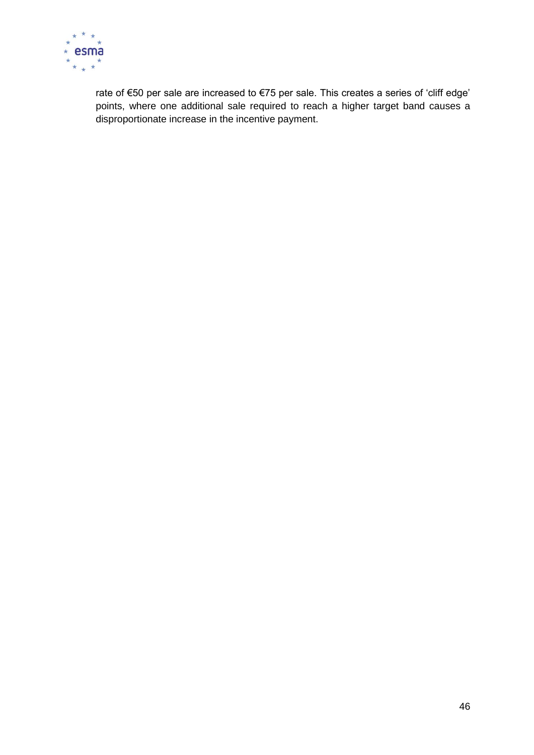

rate of €50 per sale are increased to €75 per sale. This creates a series of 'cliff edge' points, where one additional sale required to reach a higher target band causes a disproportionate increase in the incentive payment.